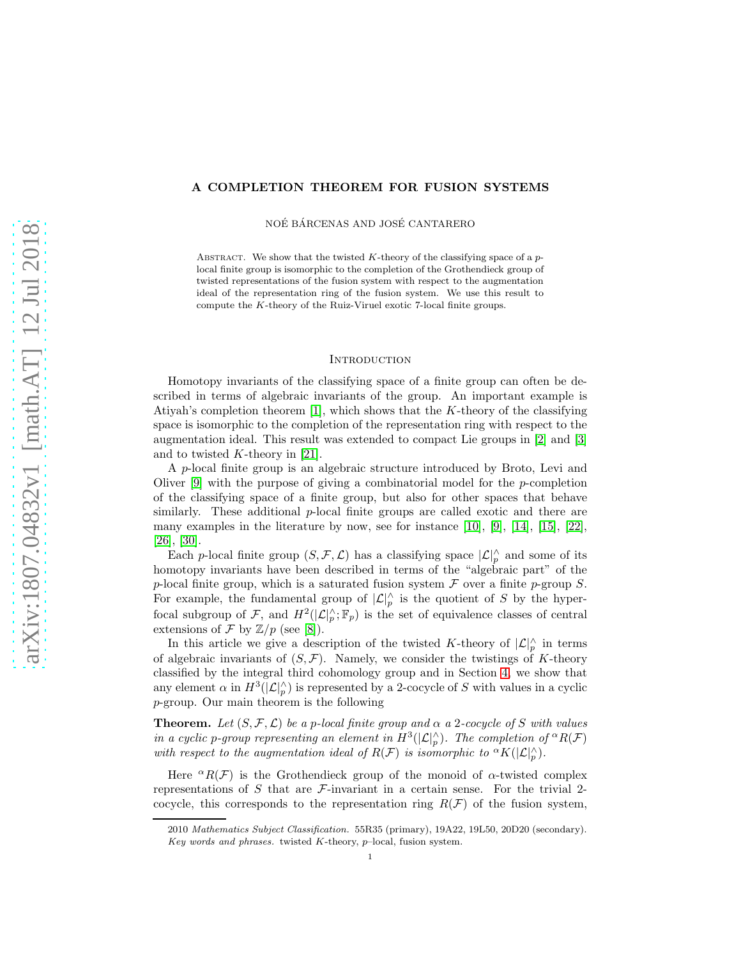# A COMPLETION THEOREM FOR FUSION SYSTEMS

NOÉ BÁRCENAS AND JOSÉ CANTARERO

ABSTRACT. We show that the twisted  $K$ -theory of the classifying space of a  $p$ local finite group is isomorphic to the completion of the Grothendieck group of twisted representations of the fusion system with respect to the augmentation ideal of the representation ring of the fusion system. We use this result to compute the K-theory of the Ruiz-Viruel exotic 7-local finite groups.

## **INTRODUCTION**

Homotopy invariants of the classifying space of a finite group can often be described in terms of algebraic invariants of the group. An important example is Atiyah's completion theorem [\[1\]](#page-27-0), which shows that the  $K$ -theory of the classifying space is isomorphic to the completion of the representation ring with respect to the augmentation ideal. This result was extended to compact Lie groups in [\[2\]](#page-27-1) and [\[3\]](#page-27-2) and to twisted  $K$ -theory in [\[21\]](#page-27-3).

A p-local finite group is an algebraic structure introduced by Broto, Levi and Oliver [\[9\]](#page-27-4) with the purpose of giving a combinatorial model for the p-completion of the classifying space of a finite group, but also for other spaces that behave similarly. These additional  $p$ -local finite groups are called exotic and there are many examples in the literature by now, see for instance  $[10]$ ,  $[9]$ ,  $[14]$ ,  $[15]$ ,  $[22]$ , [\[26\]](#page-27-9), [\[30\]](#page-28-0).

Each p-local finite group  $(S, \mathcal{F}, \mathcal{L})$  has a classifying space  $|\mathcal{L}|_p^{\wedge}$  and some of its homotopy invariants have been described in terms of the "algebraic part" of the p-local finite group, which is a saturated fusion system  $\mathcal F$  over a finite p-group  $S$ . For example, the fundamental group of  $|\mathcal{L}|_p^{\wedge}$  is the quotient of S by the hyperfocal subgroup of F, and  $H^2(|\mathcal{L}|_p^{\wedge}; \mathbb{F}_p)$  is the set of equivalence classes of central extensions of  $\mathcal F$  by  $\mathbb Z/p$  (see [\[8\]](#page-27-10)).

In this article we give a description of the twisted K-theory of  $\mathcal{L}|_p^{\wedge}$  in terms of algebraic invariants of  $(S, \mathcal{F})$ . Namely, we consider the twistings of K-theory classified by the integral third cohomology group and in Section [4,](#page-10-0) we show that any element  $\alpha$  in  $H^3(|\mathcal{L}|_p^{\wedge})$  is represented by a 2-cocycle of S with values in a cyclic p-group. Our main theorem is the following

**Theorem.** Let  $(S, \mathcal{F}, \mathcal{L})$  be a p-local finite group and  $\alpha$  a 2-cocycle of S with values in a cyclic p-group representing an element in  $H^3(|{\mathcal L}|_p^{\wedge})$ . The completion of  ${}^{\alpha}R(\mathcal{F})$ with respect to the augmentation ideal of  $R(\mathcal{F})$  is isomorphic to  ${}^{\alpha}K(|\mathcal{L}|_p^{\wedge}).$ 

Here  ${}^{\alpha}R(\mathcal{F})$  is the Grothendieck group of the monoid of  $\alpha$ -twisted complex representations of S that are  $\mathcal{F}\text{-invariant}$  in a certain sense. For the trivial 2cocycle, this corresponds to the representation ring  $R(\mathcal{F})$  of the fusion system,

<sup>2010</sup> Mathematics Subject Classification. 55R35 (primary), 19A22, 19L50, 20D20 (secondary). Key words and phrases. twisted K-theory,  $p$ -local, fusion system.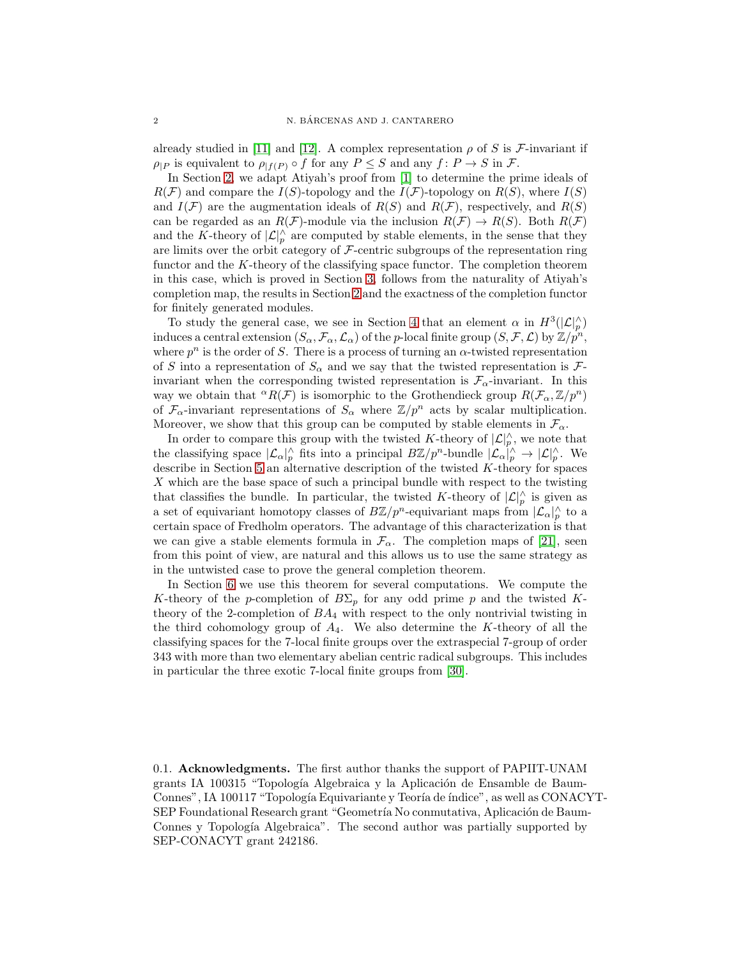already studied in [\[11\]](#page-27-11) and [\[12\]](#page-27-12). A complex representation  $\rho$  of S is F-invariant if  $\rho_{|P}$  is equivalent to  $\rho_{|f(P)} \circ f$  for any  $P \leq S$  and any  $f: P \to S$  in  $\mathcal{F}$ .

In Section [2,](#page-4-0) we adapt Atiyah's proof from [\[1\]](#page-27-0) to determine the prime ideals of  $R(F)$  and compare the  $I(S)$ -topology and the  $I(F)$ -topology on  $R(S)$ , where  $I(S)$ and  $I(F)$  are the augmentation ideals of  $R(S)$  and  $R(F)$ , respectively, and  $R(S)$ can be regarded as an  $R(\mathcal{F})$ -module via the inclusion  $R(\mathcal{F}) \to R(S)$ . Both  $R(\mathcal{F})$ and the K-theory of  $\vert \mathcal{L} \vert_p^{\wedge}$  are computed by stable elements, in the sense that they are limits over the orbit category of  $\mathcal F$ -centric subgroups of the representation ring functor and the K-theory of the classifying space functor. The completion theorem in this case, which is proved in Section [3,](#page-9-0) follows from the naturality of Atiyah's completion map, the results in Section [2](#page-4-0) and the exactness of the completion functor for finitely generated modules.

To study the general case, we see in Section [4](#page-10-0) that an element  $\alpha$  in  $H^3(|\mathcal{L}|_p^{\wedge})$ induces a central extension  $(S_\alpha, \mathcal{F}_\alpha, \mathcal{L}_\alpha)$  of the p-local finite group  $(S, \mathcal{F}, \mathcal{L})$  by  $\mathbb{Z}/p^n$ , where  $p^n$  is the order of S. There is a process of turning an  $\alpha$ -twisted representation of S into a representation of  $S_\alpha$  and we say that the twisted representation is  $\mathcal{F}$ invariant when the corresponding twisted representation is  $\mathcal{F}_{\alpha}$ -invariant. In this way we obtain that  ${}^{\alpha}R(\mathcal{F})$  is isomorphic to the Grothendieck group  $R(\mathcal{F}_{\alpha}, \mathbb{Z}/p^n)$ of  $\mathcal{F}_{\alpha}$ -invariant representations of  $S_{\alpha}$  where  $\mathbb{Z}/p^n$  acts by scalar multiplication. Moreover, we show that this group can be computed by stable elements in  $\mathcal{F}_{\alpha}$ .

In order to compare this group with the twisted K-theory of  $\mathcal{L}|_p^{\wedge}$ , we note that the classifying space  $|\mathcal{L}_{\alpha}|_p^{\wedge}$  fits into a principal  $B\mathbb{Z}/p^n$ -bundle  $|\mathcal{L}_{\alpha}|_p^{\wedge} \to |\mathcal{L}|_p^{\wedge}$ . We describe in Section [5](#page-15-0) an alternative description of the twisted  $K$ -theory for spaces X which are the base space of such a principal bundle with respect to the twisting that classifies the bundle. In particular, the twisted K-theory of  $\mathcal{L}|_p^{\wedge}$  is given as a set of equivariant homotopy classes of  $B\mathbb{Z}/p^n$ -equivariant maps from  $|\mathcal{L}_{\alpha}|_p^{\wedge}$  to a certain space of Fredholm operators. The advantage of this characterization is that we can give a stable elements formula in  $\mathcal{F}_{\alpha}$ . The completion maps of [\[21\]](#page-27-3), seen from this point of view, are natural and this allows us to use the same strategy as in the untwisted case to prove the general completion theorem.

In Section [6](#page-18-0) we use this theorem for several computations. We compute the K-theory of the p-completion of  $B\Sigma_p$  for any odd prime p and the twisted Ktheory of the 2-completion of  $BA<sub>4</sub>$  with respect to the only nontrivial twisting in the third cohomology group of  $A_4$ . We also determine the K-theory of all the classifying spaces for the 7-local finite groups over the extraspecial 7-group of order 343 with more than two elementary abelian centric radical subgroups. This includes in particular the three exotic 7-local finite groups from [\[30\]](#page-28-0).

0.1. Acknowledgments. The first author thanks the support of PAPIIT-UNAM grants IA 100315 "Topología Algebraica y la Aplicación de Ensamble de Baum-Connes", IA 100117 "Topología Equivariante y Teoría de índice", as well as CONACYT-SEP Foundational Research grant "Geometría No conmutativa, Aplicación de Baum-Connes y Topología Algebraica". The second author was partially supported by SEP-CONACYT grant 242186.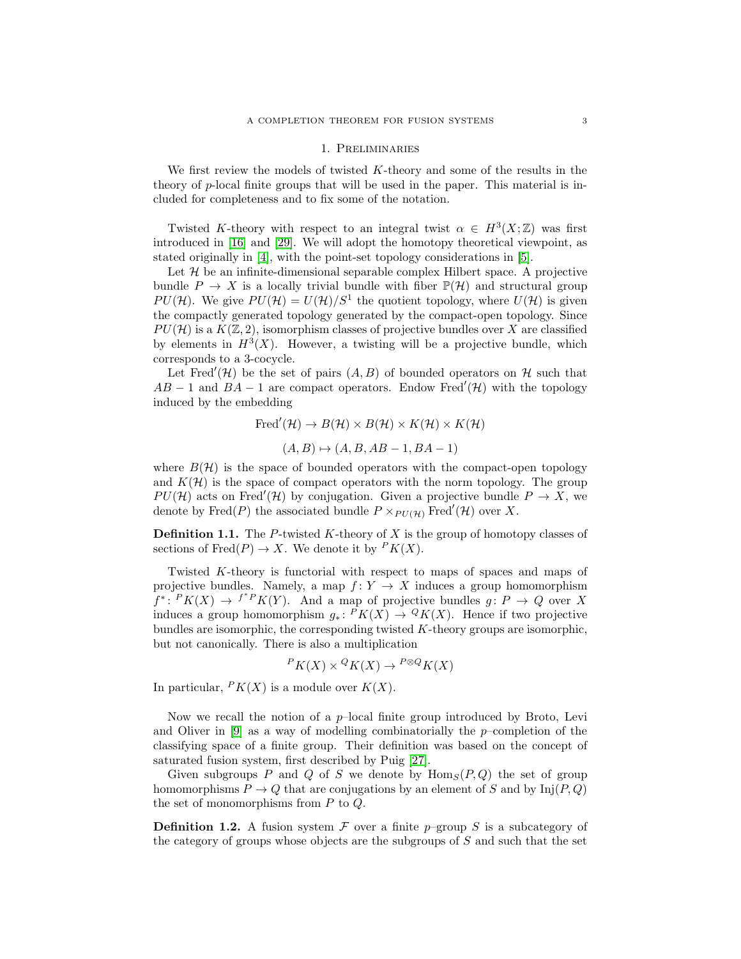#### 1. Preliminaries

We first review the models of twisted  $K$ -theory and some of the results in the theory of p-local finite groups that will be used in the paper. This material is included for completeness and to fix some of the notation.

Twisted K-theory with respect to an integral twist  $\alpha \in H^3(X;\mathbb{Z})$  was first introduced in [\[16\]](#page-27-13) and [\[29\]](#page-28-1). We will adopt the homotopy theoretical viewpoint, as stated originally in [\[4\]](#page-27-14), with the point-set topology considerations in [\[5\]](#page-27-15).

Let  $\mathcal H$  be an infinite-dimensional separable complex Hilbert space. A projective bundle  $P \to X$  is a locally trivial bundle with fiber  $\mathbb{P}(\mathcal{H})$  and structural group PU(H). We give  $PU(\mathcal{H}) = U(\mathcal{H})/S^1$  the quotient topology, where  $U(\mathcal{H})$  is given the compactly generated topology generated by the compact-open topology. Since  $PU(\mathcal{H})$  is a  $K(\mathbb{Z}, 2)$ , isomorphism classes of projective bundles over X are classified by elements in  $H^3(X)$ . However, a twisting will be a projective bundle, which corresponds to a 3-cocycle.

Let Fred'(H) be the set of pairs  $(A, B)$  of bounded operators on H such that  $AB - 1$  and  $BA - 1$  are compact operators. Endow Fred'(H) with the topology induced by the embedding

Fred'(
$$
\mathcal{H}
$$
)  $\rightarrow$   $B(\mathcal{H}) \times B(\mathcal{H}) \times K(\mathcal{H}) \times K(\mathcal{H})$   
( $A, B$ )  $\mapsto$  ( $A, B, AB - 1, BA - 1$ )

where  $B(\mathcal{H})$  is the space of bounded operators with the compact-open topology and  $K(\mathcal{H})$  is the space of compact operators with the norm topology. The group  $PU(\mathcal{H})$  acts on Fred'( $\mathcal{H}$ ) by conjugation. Given a projective bundle  $P \to X$ , we denote by Fred(P) the associated bundle  $P \times_{PU(\mathcal{H})}$  Fred'(H) over X.

**Definition 1.1.** The P-twisted K-theory of X is the group of homotopy classes of sections of  $\text{Fred}(P) \to X$ . We denote it by  $\mathbb{P}K(X)$ .

Twisted K-theory is functorial with respect to maps of spaces and maps of projective bundles. Namely, a map  $f: Y \to X$  induces a group homomorphism  $f^*: P K(X) \to f^* P K(Y)$ . And a map of projective bundles  $g: P \to Q$  over X induces a group homomorphism  $g_*\colon P K(X) \to Q K(X)$ . Hence if two projective bundles are isomorphic, the corresponding twisted  $K$ -theory groups are isomorphic, but not canonically. There is also a multiplication

$$
P K(X) \times {}^Q K(X) \to {}^{P \otimes Q} K(X)
$$

In particular,  $P K(X)$  is a module over  $K(X)$ .

Now we recall the notion of a  $p$ -local finite group introduced by Broto, Levi and Oliver in  $[9]$  as a way of modelling combinatorially the p–completion of the classifying space of a finite group. Their definition was based on the concept of saturated fusion system, first described by Puig [\[27\]](#page-27-16).

Given subgroups P and Q of S we denote by  $\text{Hom}_S(P,Q)$  the set of group homomorphisms  $P \to Q$  that are conjugations by an element of S and by  $\text{Inj}(P,Q)$ the set of monomorphisms from  $P$  to  $Q$ .

**Definition 1.2.** A fusion system F over a finite p–group S is a subcategory of the category of groups whose objects are the subgroups of S and such that the set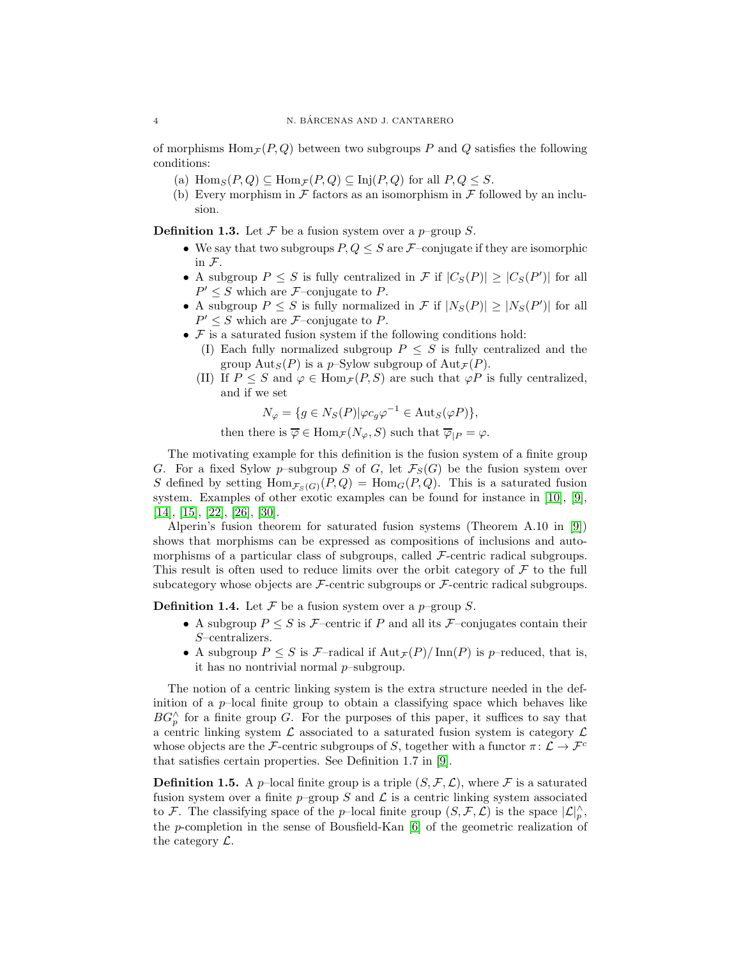of morphisms  $\text{Hom}_{\mathcal{F}}(P,Q)$  between two subgroups P and Q satisfies the following conditions:

- (a)  $\text{Hom}_S(P,Q) \subseteq \text{Hom}_{\mathcal{F}}(P,Q) \subseteq \text{Inj}(P,Q)$  for all  $P,Q \leq S$ .
- (b) Every morphism in  $\mathcal F$  factors as an isomorphism in  $\mathcal F$  followed by an inclusion.

**Definition 1.3.** Let  $\mathcal F$  be a fusion system over a p–group  $S$ .

- We say that two subgroups  $P, Q \leq S$  are  $\mathcal{F}$ -conjugate if they are isomorphic in F.
- A subgroup  $P \leq S$  is fully centralized in  $\mathcal{F}$  if  $|C_S(P)| \geq |C_S(P')|$  for all  $P' \leq S$  which are *F*-conjugate to *P*.
- A subgroup  $P \leq S$  is fully normalized in  $\mathcal{F}$  if  $|N_S(P)| \geq |N_S(P')|$  for all  $P' \leq S$  which are *F*-conjugate to *P*.
- $\mathcal F$  is a saturated fusion system if the following conditions hold:
	- (I) Each fully normalized subgroup  $P \leq S$  is fully centralized and the group  $\text{Aut}_S(P)$  is a p–Sylow subgroup of  $\text{Aut}_{\mathcal{F}}(P)$ .
	- (II) If  $P \leq S$  and  $\varphi \in \text{Hom}_{\mathcal{F}}(P, S)$  are such that  $\varphi P$  is fully centralized, and if we set

$$
N_{\varphi} = \{ g \in N_S(P) | \varphi c_g \varphi^{-1} \in \text{Aut}_S(\varphi P) \},
$$

then there is  $\overline{\varphi} \in \text{Hom}_{\mathcal{F}}(N_{\varphi}, S)$  such that  $\overline{\varphi}_{|P} = \varphi$ .

The motivating example for this definition is the fusion system of a finite group G. For a fixed Sylow p–subgroup S of G, let  $\mathcal{F}_{S}(G)$  be the fusion system over S defined by setting  $\text{Hom}_{\mathcal{F}_S(G)}(P,Q) = \text{Hom}_G(P,Q)$ . This is a saturated fusion system. Examples of other exotic examples can be found for instance in [\[10\]](#page-27-5), [\[9\]](#page-27-4), [\[14\]](#page-27-6), [\[15\]](#page-27-7), [\[22\]](#page-27-8), [\[26\]](#page-27-9), [\[30\]](#page-28-0).

Alperin's fusion theorem for saturated fusion systems (Theorem A.10 in [\[9\]](#page-27-4)) shows that morphisms can be expressed as compositions of inclusions and automorphisms of a particular class of subgroups, called  $\mathcal{F}$ -centric radical subgroups. This result is often used to reduce limits over the orbit category of  $\mathcal F$  to the full subcategory whose objects are  $\mathcal{F}\text{-centric subgroups or } \mathcal{F}\text{-centric radical subgroups.}$ 

**Definition 1.4.** Let  $\mathcal F$  be a fusion system over a  $p$ –group  $S$ .

- A subgroup  $P \leq S$  is F-centric if P and all its F-conjugates contain their S–centralizers.
- A subgroup  $P \leq S$  is  $\mathcal{F}\text{-radical if } \text{Aut}_{\mathcal{F}}(P)/\text{Inn}(P)$  is p-reduced, that is, it has no nontrivial normal p–subgroup.

The notion of a centric linking system is the extra structure needed in the definition of a  $p$ -local finite group to obtain a classifying space which behaves like  $BG_p^{\wedge}$  for a finite group G. For the purposes of this paper, it suffices to say that a centric linking system  $\mathcal L$  associated to a saturated fusion system is category  $\mathcal L$ whose objects are the F-centric subgroups of S, together with a functor  $\pi: \mathcal{L} \to \mathcal{F}^c$ that satisfies certain properties. See Definition 1.7 in [\[9\]](#page-27-4).

**Definition 1.5.** A p–local finite group is a triple  $(S, \mathcal{F}, \mathcal{L})$ , where  $\mathcal{F}$  is a saturated fusion system over a finite  $p$ –group S and  $\mathcal L$  is a centric linking system associated to F. The classifying space of the p–local finite group  $(S, \mathcal{F}, \mathcal{L})$  is the space  $|\mathcal{L}|_p^{\wedge}$ , the p-completion in the sense of Bousfield-Kan  $[6]$  of the geometric realization of the category  $\mathcal{L}$ .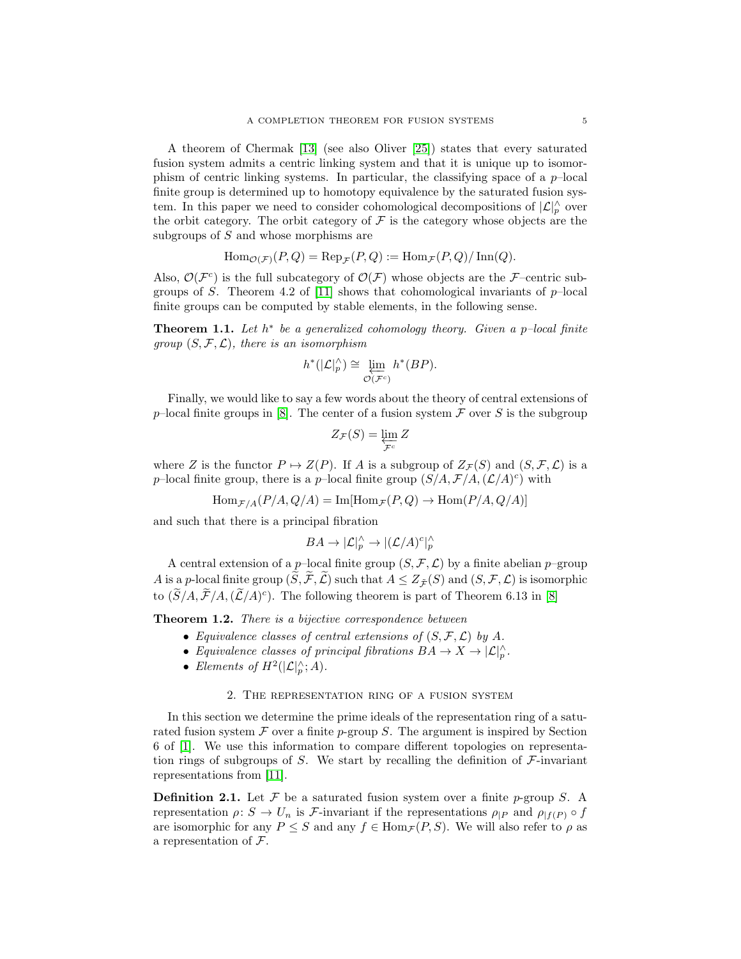A theorem of Chermak [\[13\]](#page-27-18) (see also Oliver [\[25\]](#page-27-19)) states that every saturated fusion system admits a centric linking system and that it is unique up to isomorphism of centric linking systems. In particular, the classifying space of a  $p$ -local finite group is determined up to homotopy equivalence by the saturated fusion system. In this paper we need to consider cohomological decompositions of  $|\mathcal{L}|_p^{\wedge}$  over the orbit category. The orbit category of  $\mathcal F$  is the category whose objects are the subgroups of S and whose morphisms are

$$
\operatorname{Hom}_{\mathcal{O}(\mathcal{F})}(P,Q) = \operatorname{Rep}_{\mathcal{F}}(P,Q) := \operatorname{Hom}_{\mathcal{F}}(P,Q)/\operatorname{Inn}(Q).
$$

Also,  $\mathcal{O}(\mathcal{F}^c)$  is the full subcategory of  $\mathcal{O}(\mathcal{F})$  whose objects are the F-centric sub-groups of S. Theorem 4.2 of [\[11\]](#page-27-11) shows that cohomological invariants of  $p$ -local finite groups can be computed by stable elements, in the following sense.

**Theorem 1.1.** Let  $h^*$  be a generalized cohomology theory. Given a p-local finite group  $(S, \mathcal{F}, \mathcal{L})$ , there is an isomorphism

$$
h^*(|\mathcal{L}|_p^\wedge) \cong \varprojlim_{\mathcal{O}(\mathcal{F}^c)} h^*(BP).
$$

Finally, we would like to say a few words about the theory of central extensions of p–local finite groups in [\[8\]](#page-27-10). The center of a fusion system  $\mathcal F$  over S is the subgroup

$$
Z_{\mathcal{F}}(S) = \varprojlim_{\mathcal{F}^c} Z
$$

where Z is the functor  $P \mapsto Z(P)$ . If A is a subgroup of  $Z_{\mathcal{F}}(S)$  and  $(S, \mathcal{F}, \mathcal{L})$  is a p-local finite group, there is a p-local finite group  $(S/A, \mathcal{F}/A, (\mathcal{L}/A)^c)$  with

$$
\text{Hom}_{\mathcal{F}/A}(P/A, Q/A) = \text{Im}[\text{Hom}_{\mathcal{F}}(P, Q) \to \text{Hom}(P/A, Q/A)]
$$

and such that there is a principal fibration

$$
BA \to |\mathcal{L}|_p^{\wedge} \to |(\mathcal{L}/A)^c|_p^{\wedge}
$$

A central extension of a p–local finite group  $(S, \mathcal{F}, \mathcal{L})$  by a finite abelian p–group A is a p-local finite group  $(\tilde{S}, \tilde{\mathcal{F}}, \tilde{\mathcal{L}})$  such that  $A \leq Z_{\tilde{\mathcal{F}}}(S)$  and  $(S, \mathcal{F}, \mathcal{L})$  is isomorphic to  $(\tilde{S}/A, \tilde{\mathcal{F}}/A, (\tilde{\mathcal{L}}/A)^c)$ . The following theorem is part of Theorem 6.13 in [\[8\]](#page-27-10)

**Theorem 1.2.** There is a bijective correspondence between

- Equivalence classes of central extensions of  $(S, \mathcal{F}, \mathcal{L})$  by A.
- Equivalence classes of principal fibrations  $BA \to X \to |\mathcal{L}|_p^{\wedge}$ .
- Elements of  $H^2(|\mathcal{L}|_p^{\wedge};A)$ .

# 2. The representation ring of a fusion system

<span id="page-4-0"></span>In this section we determine the prime ideals of the representation ring of a saturated fusion system  $\mathcal F$  over a finite p-group S. The argument is inspired by Section 6 of [\[1\]](#page-27-0). We use this information to compare different topologies on representation rings of subgroups of S. We start by recalling the definition of  $\mathcal{F}\text{-invariant}$ representations from [\[11\]](#page-27-11).

**Definition 2.1.** Let  $\mathcal F$  be a saturated fusion system over a finite p-group S. A representation  $\rho: S \to U_n$  is F-invariant if the representations  $\rho_{|P}$  and  $\rho_{|f(P)} \circ f$ are isomorphic for any  $P \leq S$  and any  $f \in \text{Hom}_{\mathcal{F}}(P, S)$ . We will also refer to  $\rho$  as a representation of F.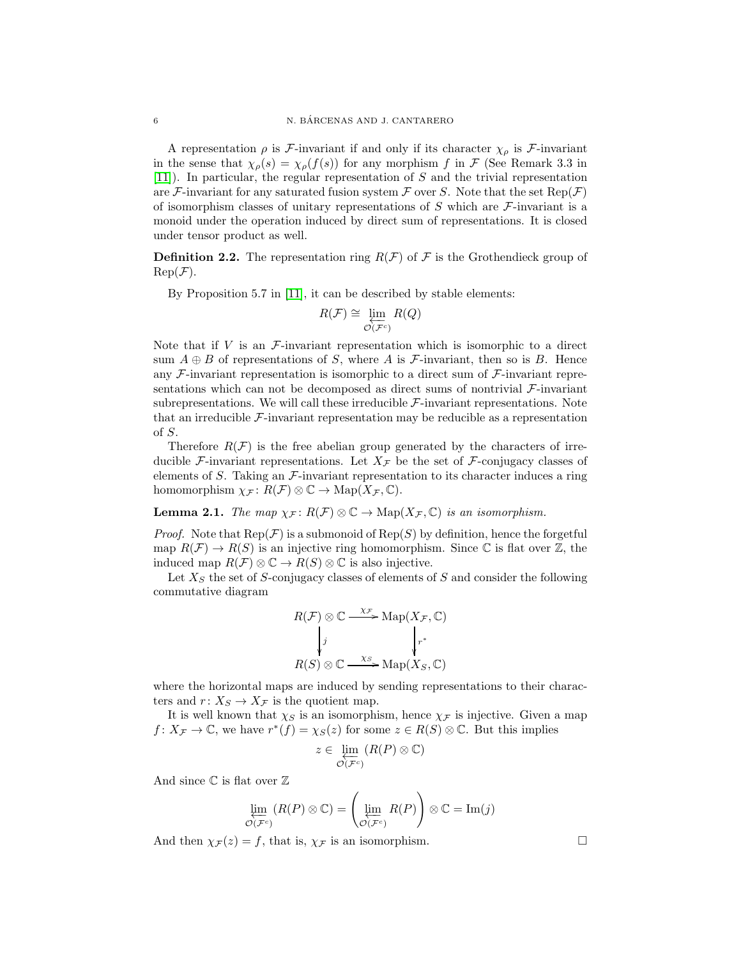A representation  $\rho$  is F-invariant if and only if its character  $\chi_{\rho}$  is F-invariant in the sense that  $\chi_{\rho}(s) = \chi_{\rho}(f(s))$  for any morphism f in F (See Remark 3.3 in [\[11\]](#page-27-11)). In particular, the regular representation of S and the trivial representation are F-invariant for any saturated fusion system F over S. Note that the set  $Rep(F)$ of isomorphism classes of unitary representations of  $S$  which are  $\mathcal F$ -invariant is a monoid under the operation induced by direct sum of representations. It is closed under tensor product as well.

**Definition 2.2.** The representation ring  $R(\mathcal{F})$  of  $\mathcal{F}$  is the Grothendieck group of  $\operatorname{Rep}(\mathcal{F}).$ 

By Proposition 5.7 in [\[11\]](#page-27-11), it can be described by stable elements:

$$
R(\mathcal{F}) \cong \varprojlim_{\mathcal{O}(\mathcal{F}^c)} R(Q)
$$

Note that if  $V$  is an  $\mathcal{F}\text{-invariant representation which is isomorphic to a direct}$ sum  $A \oplus B$  of representations of S, where A is F-invariant, then so is B. Hence any  $\mathcal F$ -invariant representation is isomorphic to a direct sum of  $\mathcal F$ -invariant representations which can not be decomposed as direct sums of nontrivial  $\mathcal{F}\text{-invariant}$ subrepresentations. We will call these irreducible  $\mathcal{F}\text{-invariant representations}$ . Note that an irreducible  $\mathcal{F}\text{-invariant representation}$  may be reducible as a representation of S.

Therefore  $R(\mathcal{F})$  is the free abelian group generated by the characters of irreducible F-invariant representations. Let  $X_{\mathcal{F}}$  be the set of F-conjugacy classes of elements of S. Taking an  $\mathcal{F}$ -invariant representation to its character induces a ring homomorphism  $\chi_{\mathcal{F}}: R(\mathcal{F}) \otimes \mathbb{C} \to \mathrm{Map}(X_{\mathcal{F}}, \mathbb{C}).$ 

<span id="page-5-0"></span>**Lemma 2.1.** The map  $\chi_{\mathcal{F}}: R(\mathcal{F}) \otimes \mathbb{C} \to \mathrm{Map}(X_{\mathcal{F}}, \mathbb{C})$  is an isomorphism.

*Proof.* Note that  $Rep(\mathcal{F})$  is a submonoid of  $Rep(S)$  by definition, hence the forgetful map  $R(\mathcal{F}) \to R(S)$  is an injective ring homomorphism. Since C is flat over Z, the induced map  $R(\mathcal{F}) \otimes \mathbb{C} \to R(S) \otimes \mathbb{C}$  is also injective.

Let  $X<sub>S</sub>$  the set of S-conjugacy classes of elements of S and consider the following commutative diagram

$$
R(\mathcal{F}) \otimes \mathbb{C} \xrightarrow{\chi_{\mathcal{F}}} \mathrm{Map}(X_{\mathcal{F}}, \mathbb{C})
$$
\n
$$
\downarrow j
$$
\n
$$
R(S) \otimes \mathbb{C} \xrightarrow{\chi_{S}} \mathrm{Map}(X_{S}, \mathbb{C})
$$

where the horizontal maps are induced by sending representations to their characters and  $r: X_S \to X_{\mathcal{F}}$  is the quotient map.

It is well known that  $\chi_S$  is an isomorphism, hence  $\chi_F$  is injective. Given a map  $f: X_{\mathcal{F}} \to \mathbb{C}$ , we have  $r^*(f) = \chi_S(z)$  for some  $z \in R(S) \otimes \mathbb{C}$ . But this implies

$$
z \in \varprojlim_{\mathcal{O}(\mathcal{F}^c)} (R(P) \otimes \mathbb{C})
$$

And since  $\mathbb C$  is flat over  $\mathbb Z$ 

$$
\varprojlim_{\mathcal{O}(\mathcal{F}^c)} (R(P) \otimes \mathbb{C}) = \left(\varprojlim_{\mathcal{O}(\mathcal{F}^c)} R(P)\right) \otimes \mathbb{C} = \text{Im}(j)
$$

And then  $\chi_{\mathcal{F}}(z) = f$ , that is,  $\chi_{\mathcal{F}}$  is an isomorphism.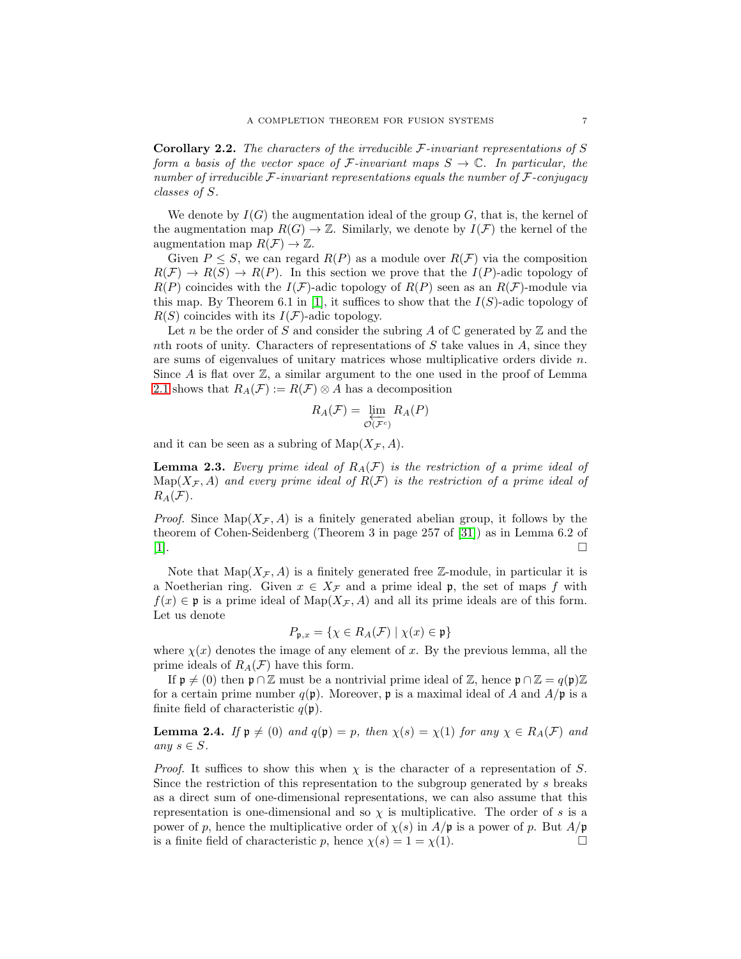**Corollary 2.2.** The characters of the irreducible  $\mathcal{F}-invariant$  representations of S form a basis of the vector space of F-invariant maps  $S \to \mathbb{C}$ . In particular, the number of irreducible  $\mathcal{F}-invariant$  representations equals the number of  $\mathcal{F}-conjugacy$ classes of S.

We denote by  $I(G)$  the augmentation ideal of the group G, that is, the kernel of the augmentation map  $R(G) \to \mathbb{Z}$ . Similarly, we denote by  $I(\mathcal{F})$  the kernel of the augmentation map  $R(F) \to \mathbb{Z}$ .

Given  $P \leq S$ , we can regard  $R(P)$  as a module over  $R(\mathcal{F})$  via the composition  $R(\mathcal{F}) \to R(S) \to R(P)$ . In this section we prove that the  $I(P)$ -adic topology of  $R(P)$  coincides with the  $I(F)$ -adic topology of  $R(P)$  seen as an  $R(F)$ -module via this map. By Theorem 6.1 in [\[1\]](#page-27-0), it suffices to show that the  $I(S)$ -adic topology of  $R(S)$  coincides with its  $I(\mathcal{F})$ -adic topology.

Let n be the order of S and consider the subring A of  $\mathbb C$  generated by  $\mathbb Z$  and the nth roots of unity. Characters of representations of  $S$  take values in  $A$ , since they are sums of eigenvalues of unitary matrices whose multiplicative orders divide  $n$ . Since A is flat over  $\mathbb{Z}$ , a similar argument to the one used in the proof of Lemma [2.1](#page-5-0) shows that  $R_A(\mathcal{F}) := R(\mathcal{F}) \otimes A$  has a decomposition

$$
R_A(\mathcal{F}) = \varprojlim_{\mathcal{O}(\mathcal{F}^c)} R_A(P)
$$

and it can be seen as a subring of  $\text{Map}(X_{\mathcal{F}}, A)$ .

<span id="page-6-1"></span>**Lemma 2.3.** Every prime ideal of  $R_A(\mathcal{F})$  is the restriction of a prime ideal of  $\text{Map}(X_{\mathcal{F}}, A)$  and every prime ideal of  $R(\mathcal{F})$  is the restriction of a prime ideal of  $R_A(\mathcal{F})$ .

*Proof.* Since  $\text{Map}(X_\mathcal{F}, A)$  is a finitely generated abelian group, it follows by the theorem of Cohen-Seidenberg (Theorem 3 in page 257 of [\[31\]](#page-28-2)) as in Lemma 6.2 of [\[1\]](#page-27-0).

Note that  $\text{Map}(X_{\mathcal{F}}, A)$  is a finitely generated free Z-module, in particular it is a Noetherian ring. Given  $x \in X_{\mathcal{F}}$  and a prime ideal p, the set of maps f with  $f(x) \in \mathfrak{p}$  is a prime ideal of  $\text{Map}(X_{\mathcal{F}}, A)$  and all its prime ideals are of this form. Let us denote

$$
P_{\mathfrak{p},x} = \{ \chi \in R_A(\mathcal{F}) \mid \chi(x) \in \mathfrak{p} \}
$$

where  $\chi(x)$  denotes the image of any element of x. By the previous lemma, all the prime ideals of  $R_A(\mathcal{F})$  have this form.

If  $\mathfrak{p} \neq (0)$  then  $\mathfrak{p} \cap \mathbb{Z}$  must be a nontrivial prime ideal of  $\mathbb{Z}$ , hence  $\mathfrak{p} \cap \mathbb{Z} = q(\mathfrak{p})\mathbb{Z}$ for a certain prime number  $q(\mathfrak{p})$ . Moreover,  $\mathfrak{p}$  is a maximal ideal of A and  $A/\mathfrak{p}$  is a finite field of characteristic  $q(\mathfrak{p})$ .

<span id="page-6-0"></span>**Lemma 2.4.** If  $\mathfrak{p} \neq (0)$  and  $q(\mathfrak{p}) = p$ , then  $\chi(s) = \chi(1)$  for any  $\chi \in R_A(\mathcal{F})$  and any  $s \in S$ .

*Proof.* It suffices to show this when  $\chi$  is the character of a representation of S. Since the restriction of this representation to the subgroup generated by s breaks as a direct sum of one-dimensional representations, we can also assume that this representation is one-dimensional and so  $\chi$  is multiplicative. The order of s is a power of p, hence the multiplicative order of  $\chi(s)$  in  $A/\mathfrak{p}$  is a power of p. But  $A/\mathfrak{p}$ is a finite field of characteristic p, hence  $\chi(s) = 1 = \chi(1)$ .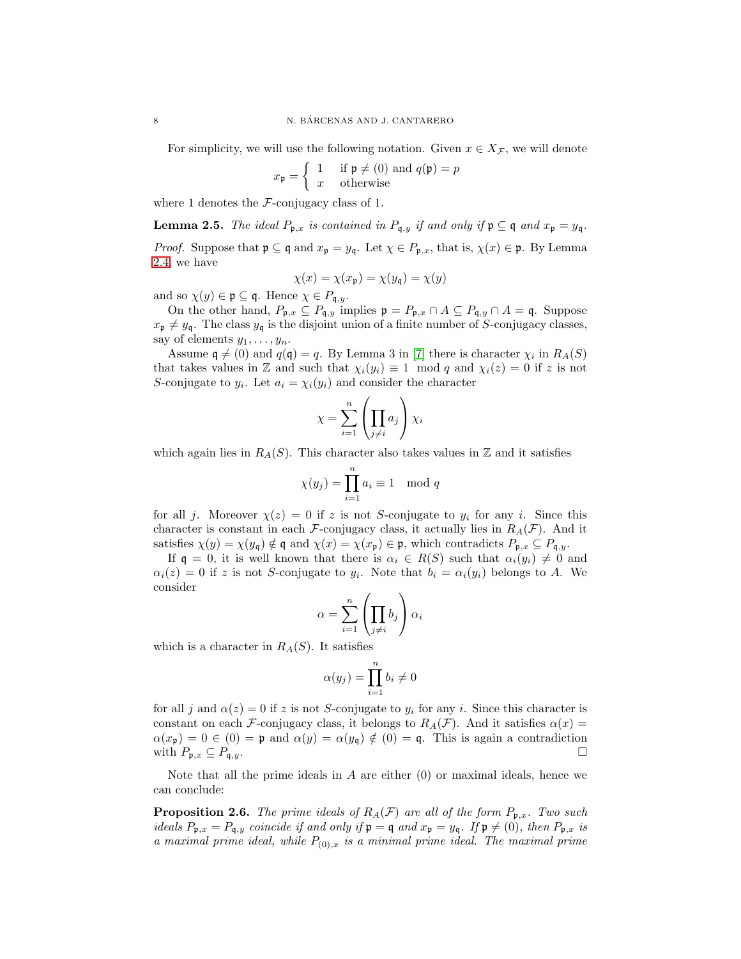For simplicity, we will use the following notation. Given  $x \in X_{\mathcal{F}}$ , we will denote

$$
x_{\mathfrak{p}} = \begin{cases} 1 & \text{if } \mathfrak{p} \neq (0) \text{ and } q(\mathfrak{p}) = p \\ x & \text{otherwise} \end{cases}
$$

where 1 denotes the  $\mathcal{F}$ -conjugacy class of 1.

**Lemma 2.5.** The ideal  $P_{p,x}$  is contained in  $P_{q,y}$  if and only if  $p \subseteq q$  and  $x_p = y_q$ .

*Proof.* Suppose that  $\mathfrak{p} \subseteq \mathfrak{q}$  and  $x_{\mathfrak{p}} = y_{\mathfrak{q}}$ . Let  $\chi \in P_{\mathfrak{p},x}$ , that is,  $\chi(x) \in \mathfrak{p}$ . By Lemma [2.4,](#page-6-0) we have

$$
\chi(x) = \chi(x_{\mathfrak{p}}) = \chi(y_{\mathfrak{q}}) = \chi(y)
$$

and so  $\chi(y) \in \mathfrak{p} \subseteq \mathfrak{q}$ . Hence  $\chi \in P_{\mathfrak{q},y}$ .

On the other hand,  $P_{\mathfrak{p},x} \subseteq P_{\mathfrak{q},y}$  implies  $\mathfrak{p} = P_{\mathfrak{p},x} \cap A \subseteq P_{\mathfrak{q},y} \cap A = \mathfrak{q}$ . Suppose  $x_{\mathfrak{p}} \neq y_{\mathfrak{q}}$ . The class  $y_{\mathfrak{q}}$  is the disjoint union of a finite number of S-conjugacy classes, say of elements  $y_1, \ldots, y_n$ .

Assume  $\mathfrak{q} \neq (0)$  and  $q(\mathfrak{q}) = q$ . By Lemma 3 in [\[7\]](#page-27-20) there is character  $\chi_i$  in  $R_A(S)$ that takes values in Z and such that  $\chi_i(y_i) \equiv 1 \mod q$  and  $\chi_i(z) = 0$  if z is not S-conjugate to  $y_i$ . Let  $a_i = \chi_i(y_i)$  and consider the character

$$
\chi=\sum_{i=1}^n\left(\prod_{j\neq i}a_j\right)\chi_i
$$

which again lies in  $R<sub>A</sub>(S)$ . This character also takes values in Z and it satisfies

$$
\chi(y_j) = \prod_{i=1}^n a_i \equiv 1 \mod q
$$

for all j. Moreover  $\chi(z) = 0$  if z is not S-conjugate to  $y_i$  for any i. Since this character is constant in each F-conjugacy class, it actually lies in  $R_A(\mathcal{F})$ . And it satisfies  $\chi(y) = \chi(y_{\mathsf{q}}) \notin \mathsf{q}$  and  $\chi(x) = \chi(x_{\mathsf{p}}) \in \mathfrak{p}$ , which contradicts  $P_{\mathfrak{p},x} \subseteq P_{\mathsf{q},y}$ .

If  $\mathfrak{q} = 0$ , it is well known that there is  $\alpha_i \in R(S)$  such that  $\alpha_i(y_i) \neq 0$  and  $\alpha_i(z) = 0$  if z is not S-conjugate to  $y_i$ . Note that  $b_i = \alpha_i(y_i)$  belongs to A. We consider

$$
\alpha = \sum_{i=1}^n \left( \prod_{j \neq i} b_j \right) \alpha_i
$$

which is a character in  $R<sub>A</sub>(S)$ . It satisfies

$$
\alpha(y_j) = \prod_{i=1}^n b_i \neq 0
$$

for all j and  $\alpha(z) = 0$  if z is not S-conjugate to  $y_i$  for any i. Since this character is constant on each F-conjugacy class, it belongs to  $R_A(\mathcal{F})$ . And it satisfies  $\alpha(x)$  =  $\alpha(x_{\mathfrak{p}}) = 0 \in (0) = \mathfrak{p}$  and  $\alpha(y) = \alpha(y_{\mathfrak{q}}) \notin (0) = \mathfrak{q}$ . This is again a contradiction with  $P_{\mathfrak{p},x} \subseteq P_{\mathfrak{q},y}$ .

Note that all the prime ideals in  $A$  are either  $(0)$  or maximal ideals, hence we can conclude:

<span id="page-7-0"></span>**Proposition 2.6.** The prime ideals of  $R_A(\mathcal{F})$  are all of the form  $P_{\mathfrak{p},x}$ . Two such ideals  $P_{\mathfrak{p},x} = P_{\mathfrak{q},y}$  coincide if and only if  $\mathfrak{p} = \mathfrak{q}$  and  $x_{\mathfrak{p}} = y_{\mathfrak{q}}$ . If  $\mathfrak{p} \neq (0)$ , then  $P_{\mathfrak{p},x}$  is a maximal prime ideal, while  $P_{(0),x}$  is a minimal prime ideal. The maximal prime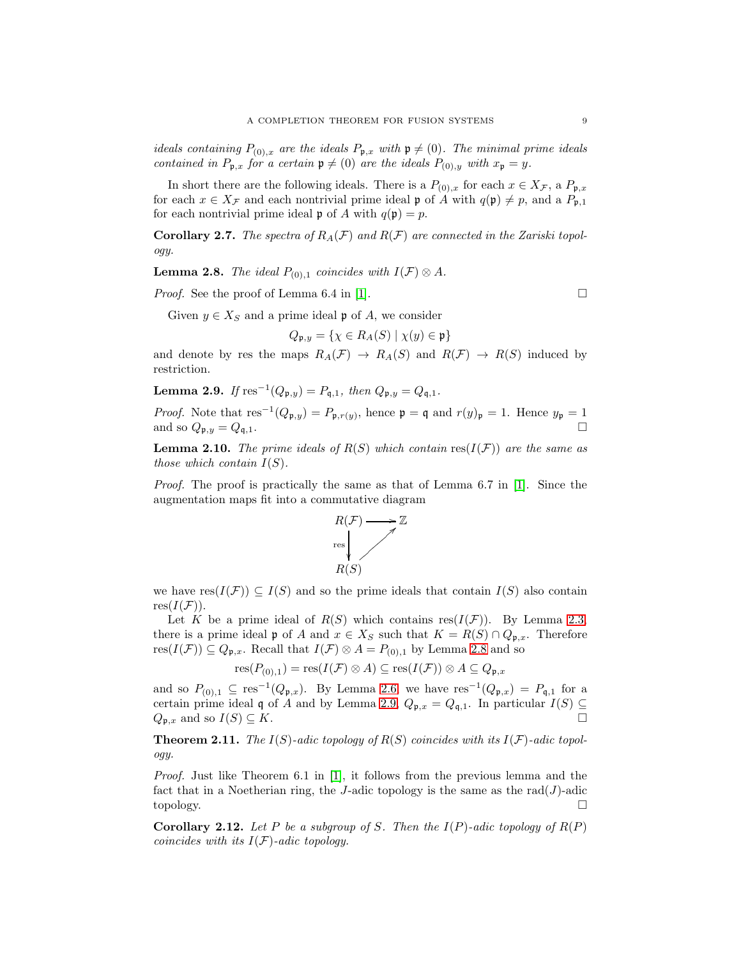ideals containing  $P_{(0),x}$  are the ideals  $P_{p,x}$  with  $p \neq (0)$ . The minimal prime ideals contained in  $P_{\mathfrak{p},x}$  for a certain  $\mathfrak{p} \neq (0)$  are the ideals  $P_{(0),y}$  with  $x_{\mathfrak{p}} = y$ .

In short there are the following ideals. There is a  $P_{(0),x}$  for each  $x \in X_{\mathcal{F}}$ , a  $P_{\mathfrak{p},x}$ for each  $x \in X_{\mathcal{F}}$  and each nontrivial prime ideal p of A with  $q(\mathfrak{p}) \neq p$ , and a  $P_{\mathfrak{p},1}$ for each nontrivial prime ideal  $\mathfrak p$  of A with  $q(\mathfrak p) = p$ .

**Corollary 2.7.** The spectra of  $R_A(\mathcal{F})$  and  $R(\mathcal{F})$  are connected in the Zariski topology.

<span id="page-8-0"></span>**Lemma 2.8.** The ideal  $P_{(0),1}$  coincides with  $I(\mathcal{F}) \otimes A$ .

*Proof.* See the proof of Lemma 6.4 in [\[1\]](#page-27-0).  $\Box$ 

Given  $y \in X_S$  and a prime ideal  $\mathfrak p$  of A, we consider

 $Q_{\mathfrak{p},y} = \{ \chi \in R_A(S) \mid \chi(y) \in \mathfrak{p} \}$ 

and denote by res the maps  $R_A(\mathcal{F}) \to R_A(S)$  and  $R(\mathcal{F}) \to R(S)$  induced by restriction.

<span id="page-8-1"></span>**Lemma 2.9.** If  $res^{-1}(Q_{\mathfrak{p},y}) = P_{\mathfrak{q},1}$ , then  $Q_{\mathfrak{p},y} = Q_{\mathfrak{q},1}$ .

*Proof.* Note that  $res^{-1}(Q_{\mathfrak{p},y}) = P_{\mathfrak{p},r(y)}$ , hence  $\mathfrak{p} = \mathfrak{q}$  and  $r(y)_{\mathfrak{p}} = 1$ . Hence  $y_{\mathfrak{p}} = 1$ and so  $Q_{\mathfrak{p},y} = Q_{\mathfrak{q},1}$ .

**Lemma 2.10.** The prime ideals of  $R(S)$  which contain res( $I(F)$ ) are the same as those which contain  $I(S)$ .

Proof. The proof is practically the same as that of Lemma 6.7 in [\[1\]](#page-27-0). Since the augmentation maps fit into a commutative diagram



we have  $res(I(\mathcal{F})) \subseteq I(S)$  and so the prime ideals that contain  $I(S)$  also contain  $res(I(\mathcal{F}))$ .

Let K be a prime ideal of  $R(S)$  which contains res $(I(\mathcal{F}))$ . By Lemma [2.3,](#page-6-1) there is a prime ideal p of A and  $x \in X_S$  such that  $K = R(S) \cap Q_{p,x}$ . Therefore  $res(I(\mathcal{F})) \subseteq Q_{\mathfrak{p},x}$ . Recall that  $I(\mathcal{F}) \otimes A = P_{(0),1}$  by Lemma [2.8](#page-8-0) and so

$$
res(P_{(0),1}) = res(I(\mathcal{F}) \otimes A) \subseteq res(I(\mathcal{F})) \otimes A \subseteq Q_{\mathfrak{p},x}
$$

and so  $P_{(0),1} \subseteq \text{res}^{-1}(Q_{\mathfrak{p},x})$ . By Lemma [2.6,](#page-7-0) we have  $\text{res}^{-1}(Q_{\mathfrak{p},x}) = P_{\mathfrak{q},1}$  for a certain prime ideal q of A and by Lemma [2.9,](#page-8-1)  $Q_{\mathfrak{p},x} = Q_{\mathfrak{q},1}$ . In particular  $I(S) \subseteq$ <br> $Q_{\mathfrak{p},x}$  and so  $I(S) \subseteq K$ .  $Q_{\mathfrak{p},x}$  and so  $I(S) \subseteq K$ .

**Theorem 2.11.** The  $I(S)$ -adic topology of  $R(S)$  coincides with its  $I(\mathcal{F})$ -adic topology.

Proof. Just like Theorem 6.1 in [\[1\]](#page-27-0), it follows from the previous lemma and the fact that in a Noetherian ring, the J-adic topology is the same as the  $rad(J)$ -adic topology. □

<span id="page-8-2"></span>**Corollary 2.12.** Let P be a subgroup of S. Then the  $I(P)$ -adic topology of  $R(P)$ coincides with its  $I(\mathcal{F})$ -adic topology.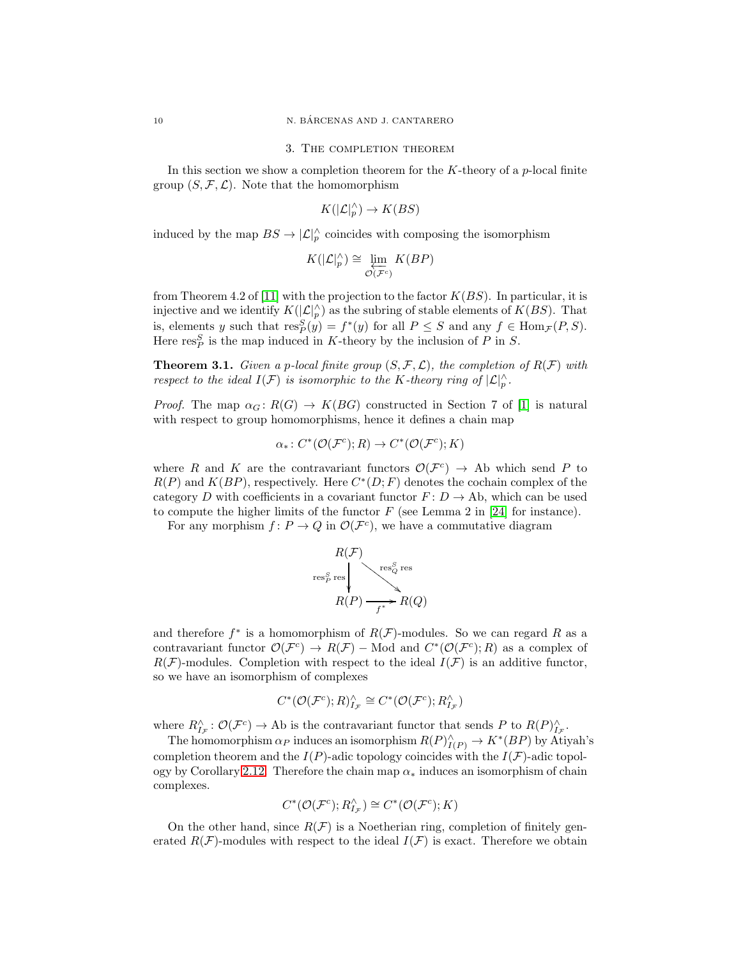#### 3. The completion theorem

<span id="page-9-0"></span>In this section we show a completion theorem for the  $K$ -theory of a p-local finite group  $(S, \mathcal{F}, \mathcal{L})$ . Note that the homomorphism

$$
K(|\mathcal{L}|_p^{\wedge}) \to K(BS)
$$

induced by the map  $BS \to |\mathcal{L}|_p^{\wedge}$  coincides with composing the isomorphism

$$
K(|\mathcal{L}|_p^{\wedge}) \cong \varprojlim_{\mathcal{O}(\mathcal{F}^c)} K(BP)
$$

from Theorem 4.2 of [\[11\]](#page-27-11) with the projection to the factor  $K(BS)$ . In particular, it is injective and we identify  $K(|\mathcal{L}|_p^{\wedge})$  as the subring of stable elements of  $K(BS)$ . That is, elements y such that  $res_P^S(y) = f^*(y)$  for all  $P \leq S$  and any  $f \in Hom_{\mathcal{F}}(P, S)$ . Here  $\text{res}_P^S$  is the map induced in K-theory by the inclusion of P in S.

<span id="page-9-1"></span>**Theorem 3.1.** Given a p-local finite group  $(S, \mathcal{F}, \mathcal{L})$ , the completion of  $R(\mathcal{F})$  with respect to the ideal  $I(\mathcal{F})$  is isomorphic to the K-theory ring of  $\vert \mathcal{L} \vert_p^{\wedge}$ .

*Proof.* The map  $\alpha_G : R(G) \to K(BG)$  constructed in Section 7 of [\[1\]](#page-27-0) is natural with respect to group homomorphisms, hence it defines a chain map

$$
\alpha_*\colon C^*(\mathcal{O}(\mathcal{F}^c);R)\to C^*(\mathcal{O}(\mathcal{F}^c);K)
$$

where R and K are the contravariant functors  $\mathcal{O}(\mathcal{F}^c) \to$  Ab which send P to  $R(P)$  and  $K(BP)$ , respectively. Here  $C^*(D; F)$  denotes the cochain complex of the category D with coefficients in a covariant functor  $F: D \to Ab$ , which can be used to compute the higher limits of the functor  $F$  (see Lemma 2 in [\[24\]](#page-27-21) for instance).

For any morphism  $f: P \to Q$  in  $\mathcal{O}(\mathcal{F}^c)$ , we have a commutative diagram



and therefore  $f^*$  is a homomorphism of  $R(F)$ -modules. So we can regard R as a contravariant functor  $\mathcal{O}(\mathcal{F}^c) \to R(\mathcal{F})$  – Mod and  $C^*(\mathcal{O}(\mathcal{F}^c); R)$  as a complex of  $R(\mathcal{F})$ -modules. Completion with respect to the ideal  $I(\mathcal{F})$  is an additive functor, so we have an isomorphism of complexes

$$
C^*(\mathcal{O}(\mathcal{F}^c);R)^\wedge_{I_{\mathcal{F}}} \cong C^*(\mathcal{O}(\mathcal{F}^c);R^\wedge_{I_{\mathcal{F}}})
$$

where  $R^{\wedge}_{I_{\mathcal{F}}}: \mathcal{O}(\mathcal{F}^c) \to \text{Ab}$  is the contravariant functor that sends P to  $R(P)^{\wedge}_{I_{\mathcal{F}}}$ .

The homomorphism  $\alpha_P$  induces an isomorphism  $R(P)^\wedge_{I(P)} \to K^*(BP)$  by Atiyah's completion theorem and the  $I(P)$ -adic topology coincides with the  $I(\mathcal{F})$ -adic topol-ogy by Corollary [2.12.](#page-8-2) Therefore the chain map  $\alpha_*$  induces an isomorphism of chain complexes.

$$
C^*(\mathcal O(\mathcal F^c);R_{I_\mathcal F}^\wedge)\cong C^*(\mathcal O(\mathcal F^c);K)
$$

On the other hand, since  $R(F)$  is a Noetherian ring, completion of finitely generated  $R(\mathcal{F})$ -modules with respect to the ideal  $I(\mathcal{F})$  is exact. Therefore we obtain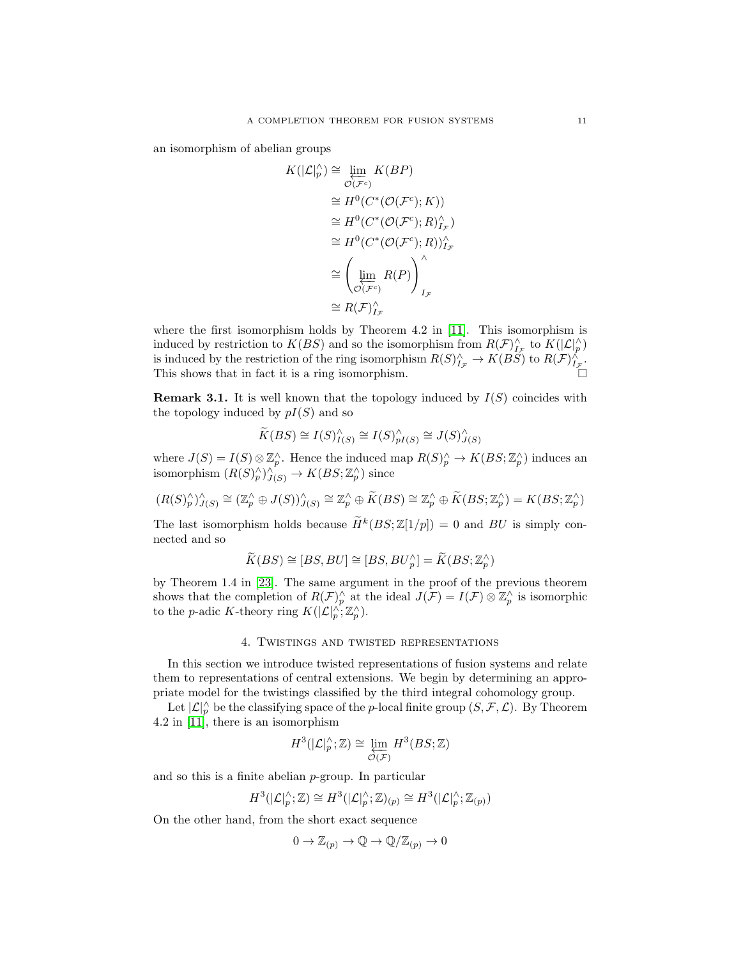an isomorphism of abelian groups

$$
K(|\mathcal{L}|_p^{\wedge}) \cong \varprojlim_{\mathcal{O}(\mathcal{F}^c)} K(BP)
$$
  
\n
$$
\cong H^0(C^*(\mathcal{O}(\mathcal{F}^c); K))
$$
  
\n
$$
\cong H^0(C^*(\mathcal{O}(\mathcal{F}^c); R)_{I_{\mathcal{F}}}^{\wedge})
$$
  
\n
$$
\cong H^0(C^*(\mathcal{O}(\mathcal{F}^c); R))_{I_{\mathcal{F}}}^{\wedge}
$$
  
\n
$$
\cong \left(\varprojlim_{\mathcal{O}(\mathcal{F}^c)} R(P)\right)_{I_{\mathcal{F}}}^{\wedge}
$$
  
\n
$$
\cong R(\mathcal{F})_{I_{\mathcal{F}}}^{\wedge}
$$

where the first isomorphism holds by Theorem 4.2 in [\[11\]](#page-27-11). This isomorphism is induced by restriction to  $K(BS)$  and so the isomorphism from  $R(\mathcal{F})^{\wedge}_{I_{\tau}}$  to  $K(|\mathcal{L}|^{\wedge}_{p})$ is induced by the restriction of the ring isomorphism  $R(S)_{F}^{\wedge} \to K(BS)$  to  $R(F)_{F}^{\wedge}$ . This shows that in fact it is a ring isomorphism.  $\square$ 

**Remark 3.1.** It is well known that the topology induced by  $I(S)$  coincides with the topology induced by  $pI(S)$  and so

$$
\widetilde{K}(BS) \cong I(S)^\wedge_{I(S)} \cong I(S)^\wedge_{pI(S)} \cong J(S)^\wedge_{J(S)}
$$

where  $J(S) = I(S) \otimes \mathbb{Z}_p^{\wedge}$ . Hence the induced map  $R(S)_p^{\wedge} \to K(BS; \mathbb{Z}_p^{\wedge})$  induces an isomorphism  $(R(S)_{p}^{\wedge})_{J(S)}^{\wedge} \to K(BS; \mathbb{Z}_{p}^{\wedge})$  since

$$
(R(S)^\wedge_p)^{\wedge}_{J(S)} \cong (\mathbb{Z}_p^\wedge \oplus J(S))^\wedge_{J(S)} \cong \mathbb{Z}_p^\wedge \oplus \widetilde{K}(BS) \cong \mathbb{Z}_p^\wedge \oplus \widetilde{K}(BS; \mathbb{Z}_p^\wedge) = K(BS; \mathbb{Z}_p^\wedge)
$$

The last isomorphism holds because  $\overline{H}^k(BS;\mathbb{Z}[1/p]) = 0$  and  $BU$  is simply connected and so

$$
\widetilde{K}(BS) \cong [BS, BU] \cong [BS, BU_p^{\wedge}] = \widetilde{K}(BS; \mathbb{Z}_p^{\wedge})
$$

by Theorem 1.4 in [\[23\]](#page-27-22). The same argument in the proof of the previous theorem shows that the completion of  $R(\mathcal{F})_p^{\wedge}$  at the ideal  $J(\mathcal{F}) = I(\mathcal{F}) \otimes \mathbb{Z}_p^{\wedge}$  is isomorphic to the *p*-adic K-theory ring  $K(|\mathcal{L}|_p^{\wedge}; \mathbb{Z}_p^{\wedge}).$ 

#### 4. Twistings and twisted representations

<span id="page-10-0"></span>In this section we introduce twisted representations of fusion systems and relate them to representations of central extensions. We begin by determining an appropriate model for the twistings classified by the third integral cohomology group.

Let  $|\mathcal{L}|_p^{\wedge}$  be the classifying space of the p-local finite group  $(S, \mathcal{F}, \mathcal{L})$ . By Theorem 4.2 in  $[11]$ , there is an isomorphism

$$
H^3(|\mathcal{L}|_p^\wedge;\mathbb{Z})\cong \varprojlim_{\mathcal{O}(\mathcal{F})}H^3(BS;\mathbb{Z})
$$

and so this is a finite abelian p-group. In particular

$$
H^3(|\mathcal{L}|_p^\wedge;\mathbb{Z})\cong H^3(|\mathcal{L}|_p^\wedge;\mathbb{Z})_{(p)}\cong H^3(|\mathcal{L}|_p^\wedge;\mathbb{Z}_{(p)})
$$

On the other hand, from the short exact sequence

$$
0 \to \mathbb{Z}_{(p)} \to \mathbb{Q} \to \mathbb{Q}/\mathbb{Z}_{(p)} \to 0
$$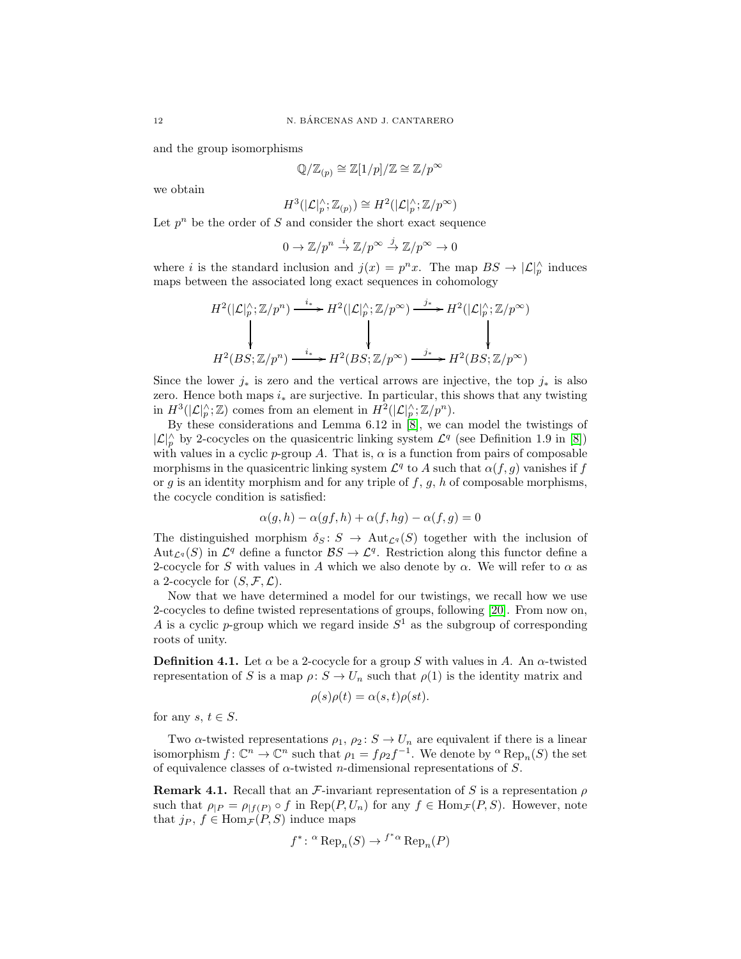and the group isomorphisms

$$
\mathbb{Q}/\mathbb{Z}_{(p)} \cong \mathbb{Z}[1/p]/\mathbb{Z} \cong \mathbb{Z}/p^{\infty}
$$

we obtain

$$
H^3(|\mathcal{L}|_p^{\wedge}; \mathbb{Z}_{(p)}) \cong H^2(|\mathcal{L}|_p^{\wedge}; \mathbb{Z}/p^{\infty})
$$

Let  $p^n$  be the order of S and consider the short exact sequence

$$
0 \to \mathbb{Z}/p^n \stackrel{i}{\to} \mathbb{Z}/p^\infty \stackrel{j}{\to} \mathbb{Z}/p^\infty \to 0
$$

where *i* is the standard inclusion and  $j(x) = p^n x$ . The map  $BS \to |\mathcal{L}|_p^{\wedge}$  induces maps between the associated long exact sequences in cohomology

$$
H^{2}(|\mathcal{L}|_{p}^{\wedge};\mathbb{Z}/p^{n}) \xrightarrow{i_{*}} H^{2}(|\mathcal{L}|_{p}^{\wedge};\mathbb{Z}/p^{\infty}) \xrightarrow{j_{*}} H^{2}(|\mathcal{L}|_{p}^{\wedge};\mathbb{Z}/p^{\infty})
$$
  
\n
$$
\downarrow \qquad \qquad \downarrow \qquad \qquad \downarrow
$$
  
\n
$$
H^{2}(BS;\mathbb{Z}/p^{n}) \xrightarrow{i_{*}} H^{2}(BS;\mathbb{Z}/p^{\infty}) \xrightarrow{j_{*}} H^{2}(BS;\mathbb{Z}/p^{\infty})
$$

Since the lower  $j_*$  is zero and the vertical arrows are injective, the top  $j_*$  is also zero. Hence both maps  $i_*$  are surjective. In particular, this shows that any twisting in  $H^3(|\mathcal{L}|_p^{\wedge}; \mathbb{Z})$  comes from an element in  $H^2(|\mathcal{L}|_p^{\wedge}; \mathbb{Z}/p^n)$ .

By these considerations and Lemma 6.12 in [\[8\]](#page-27-10), we can model the twistings of  $|\mathcal{L}|_p^{\wedge}$  by 2-cocycles on the quasicentric linking system  $\mathcal{L}^q$  (see Definition 1.9 in [\[8\]](#page-27-10)) with values in a cyclic p-group A. That is,  $\alpha$  is a function from pairs of composable morphisms in the quasicentric linking system  $\mathcal{L}^q$  to A such that  $\alpha(f,g)$  vanishes if f or g is an identity morphism and for any triple of f, g, h of composable morphisms, the cocycle condition is satisfied:

$$
\alpha(g,h) - \alpha(gf,h) + \alpha(f,hg) - \alpha(f,g) = 0
$$

The distinguished morphism  $\delta_S : S \to \text{Aut}_{\mathcal{L}^q}(S)$  together with the inclusion of Aut<sub> $\mathcal{L}^q$ </sub> (S) in  $\mathcal{L}^q$  define a functor  $BS \to \mathcal{L}^q$ . Restriction along this functor define a 2-cocycle for S with values in A which we also denote by  $\alpha$ . We will refer to  $\alpha$  as a 2-cocycle for  $(S, \mathcal{F}, \mathcal{L})$ .

Now that we have determined a model for our twistings, we recall how we use 2-cocycles to define twisted representations of groups, following [\[20\]](#page-27-23). From now on, A is a cyclic p-group which we regard inside  $S^1$  as the subgroup of corresponding roots of unity.

**Definition 4.1.** Let  $\alpha$  be a 2-cocycle for a group S with values in A. An  $\alpha$ -twisted representation of S is a map  $\rho: S \to U_n$  such that  $\rho(1)$  is the identity matrix and

$$
\rho(s)\rho(t) = \alpha(s,t)\rho(st).
$$

for any  $s, t \in S$ .

Two  $\alpha$ -twisted representations  $\rho_1, \rho_2 \colon S \to U_n$  are equivalent if there is a linear isomorphism  $f: \mathbb{C}^n \to \mathbb{C}^n$  such that  $\rho_1 = f \rho_2 f^{-1}$ . We denote by  $\alpha \operatorname{Rep}_n(S)$  the set of equivalence classes of  $\alpha$ -twisted *n*-dimensional representations of S.

**Remark 4.1.** Recall that an  $\mathcal{F}$ -invariant representation of S is a representation  $\rho$ such that  $\rho_{|P} = \rho_{|f(P)} \circ f$  in  $\text{Rep}(P, U_n)$  for any  $f \in \text{Hom}_{\mathcal{F}}(P, S)$ . However, note that  $j_P, f \in \text{Hom}_{\mathcal{F}}(P, S)$  induce maps

$$
f^* \colon \,^\alpha \operatorname{Rep}_n(S) \to f^{*_{\alpha}} \operatorname{Rep}_n(P)
$$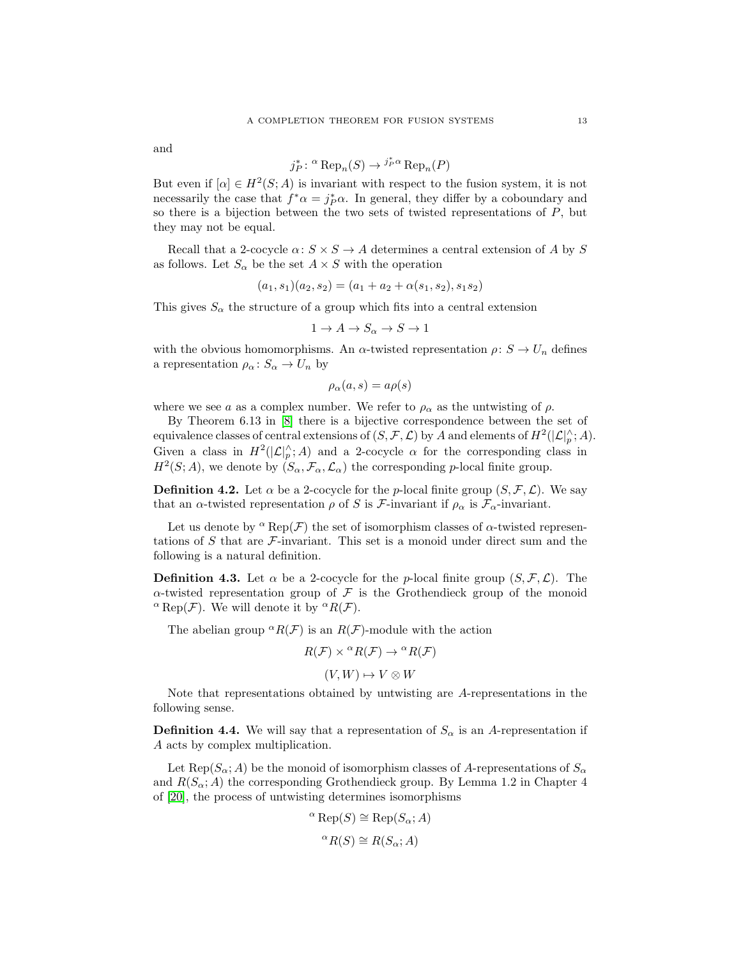and

$$
j_P^* \colon \alpha \text{Rep}_n(S) \to j_P^* \alpha \text{Rep}_n(P)
$$

But even if  $[\alpha] \in H^2(S; A)$  is invariant with respect to the fusion system, it is not necessarily the case that  $f^*\alpha = j_P^*\alpha$ . In general, they differ by a coboundary and so there is a bijection between the two sets of twisted representations of  $P$ , but they may not be equal.

Recall that a 2-cocycle  $\alpha: S \times S \to A$  determines a central extension of A by S as follows. Let  $S_{\alpha}$  be the set  $A \times S$  with the operation

$$
(a_1, s_1)(a_2, s_2) = (a_1 + a_2 + \alpha(s_1, s_2), s_1 s_2)
$$

This gives  $S_{\alpha}$  the structure of a group which fits into a central extension

$$
1 \to A \to S_{\alpha} \to S \to 1
$$

with the obvious homomorphisms. An  $\alpha$ -twisted representation  $\rho: S \to U_n$  defines a representation  $\rho_{\alpha} : S_{\alpha} \to U_n$  by

$$
\rho_\alpha(a,s)=a\rho(s)
$$

where we see a as a complex number. We refer to  $\rho_{\alpha}$  as the untwisting of  $\rho$ .

By Theorem 6.13 in [\[8\]](#page-27-10) there is a bijective correspondence between the set of equivalence classes of central extensions of  $(S, \mathcal{F}, \mathcal{L})$  by A and elements of  $H^2(|\mathcal{L}|_p^{\wedge}; A)$ . Given a class in  $H^2(|\mathcal{L}|_p^{\wedge}; A)$  and a 2-cocycle  $\alpha$  for the corresponding class in  $H^2(S; A)$ , we denote by  $(S_\alpha, \mathcal{F}_\alpha, \mathcal{L}_\alpha)$  the corresponding p-local finite group.

**Definition 4.2.** Let  $\alpha$  be a 2-cocycle for the *p*-local finite group  $(S, \mathcal{F}, \mathcal{L})$ . We say that an  $\alpha$ -twisted representation  $\rho$  of S is F-invariant if  $\rho_{\alpha}$  is  $\mathcal{F}_{\alpha}$ -invariant.

Let us denote by  $^{\alpha}$  Rep( $\mathcal{F}$ ) the set of isomorphism classes of  $\alpha$ -twisted representations of S that are  $\mathcal F$ -invariant. This set is a monoid under direct sum and the following is a natural definition.

**Definition 4.3.** Let  $\alpha$  be a 2-cocycle for the *p*-local finite group  $(S, \mathcal{F}, \mathcal{L})$ . The  $\alpha$ -twisted representation group of  $\mathcal F$  is the Grothendieck group of the monoid <sup>α</sup> Rep(*F*). We will denote it by  ${}^{\alpha}R(\mathcal{F})$ .

The abelian group  ${}^{\alpha}R(\mathcal{F})$  is an  $R(\mathcal{F})$ -module with the action

$$
R(\mathcal{F}) \times {}^{\alpha}R(\mathcal{F}) \to {}^{\alpha}R(\mathcal{F})
$$

$$
(V, W) \mapsto V \otimes W
$$

Note that representations obtained by untwisting are A-representations in the following sense.

**Definition 4.4.** We will say that a representation of  $S_\alpha$  is an A-representation if A acts by complex multiplication.

Let  $\text{Rep}(S_\alpha; A)$  be the monoid of isomorphism classes of A-representations of  $S_\alpha$ and  $R(S_\alpha; A)$  the corresponding Grothendieck group. By Lemma 1.2 in Chapter 4 of [\[20\]](#page-27-23), the process of untwisting determines isomorphisms

$$
\alpha \operatorname{Rep}(S) \cong \operatorname{Rep}(S_{\alpha}; A)
$$

$$
\alpha R(S) \cong R(S_{\alpha}; A)
$$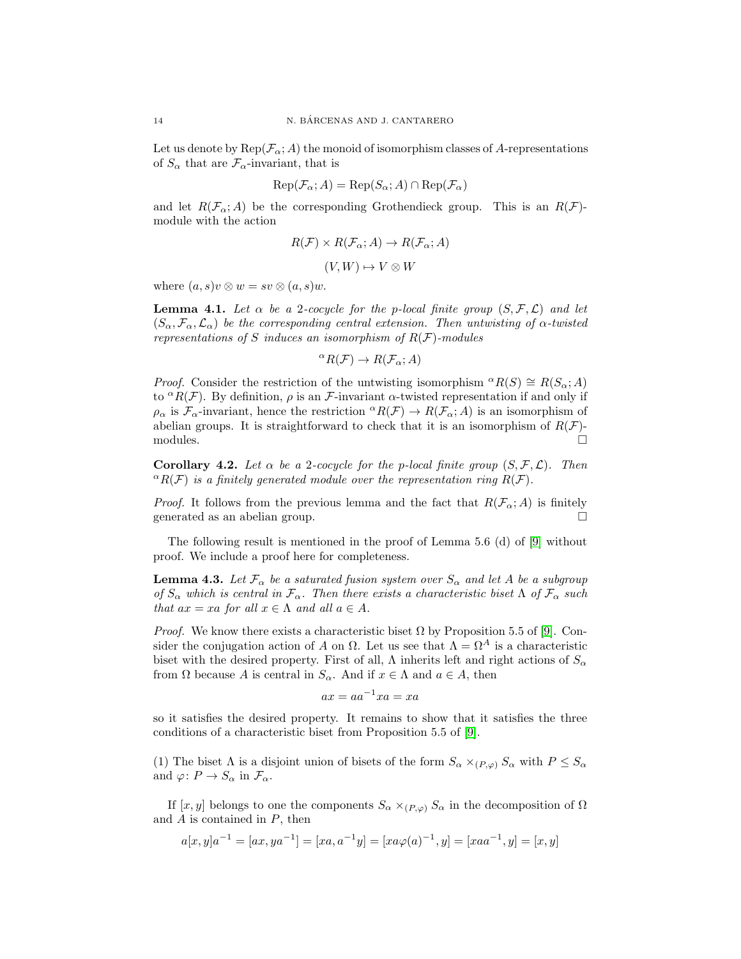Let us denote by  $\text{Rep}(\mathcal{F}_\alpha; A)$  the monoid of isomorphism classes of A-representations of  $S_{\alpha}$  that are  $\mathcal{F}_{\alpha}$ -invariant, that is

$$
Rep(\mathcal{F}_{\alpha}; A) = Rep(S_{\alpha}; A) \cap Rep(\mathcal{F}_{\alpha})
$$

and let  $R(\mathcal{F}_{\alpha};A)$  be the corresponding Grothendieck group. This is an  $R(\mathcal{F})$ module with the action

$$
R(\mathcal{F}) \times R(\mathcal{F}_{\alpha}; A) \to R(\mathcal{F}_{\alpha}; A)
$$

$$
(V, W) \mapsto V \otimes W
$$

where  $(a, s)v \otimes w = sv \otimes (a, s)w$ .

<span id="page-13-2"></span>**Lemma 4.1.** Let  $\alpha$  be a 2-cocycle for the p-local finite group  $(S, \mathcal{F}, \mathcal{L})$  and let  $(S_{\alpha}, \mathcal{F}_{\alpha}, \mathcal{L}_{\alpha})$  be the corresponding central extension. Then untwisting of  $\alpha$ -twisted representations of S induces an isomorphism of  $R(F)$ -modules

$$
{}^{\alpha}R(\mathcal{F}) \to R(\mathcal{F}_{\alpha}; A)
$$

*Proof.* Consider the restriction of the untwisting isomorphism  ${}^{\alpha}R(S) \cong R(S_{\alpha}; A)$ to  ${}^{\alpha}R(\mathcal{F})$ . By definition,  $\rho$  is an  $\mathcal{F}$ -invariant  $\alpha$ -twisted representation if and only if  $\rho_{\alpha}$  is  $\mathcal{F}_{\alpha}$ -invariant, hence the restriction  ${}^{\alpha}R(\mathcal{F}) \to R(\mathcal{F}_{\alpha};A)$  is an isomorphism of abelian groups. It is straightforward to check that it is an isomorphism of  $R(\mathcal{F})$ -modules.  $\Box$  modules.

<span id="page-13-1"></span>Corollary 4.2. Let  $\alpha$  be a 2-cocycle for the p-local finite group  $(S, \mathcal{F}, \mathcal{L})$ . Then  ${}^{\alpha}R(\mathcal{F})$  is a finitely generated module over the representation ring  $R(\mathcal{F})$ .

*Proof.* It follows from the previous lemma and the fact that  $R(\mathcal{F}_{\alpha}; A)$  is finitely generated as an abelian group.  $\square$ 

The following result is mentioned in the proof of Lemma 5.6 (d) of [\[9\]](#page-27-4) without proof. We include a proof here for completeness.

<span id="page-13-0"></span>**Lemma 4.3.** Let  $\mathcal{F}_{\alpha}$  be a saturated fusion system over  $S_{\alpha}$  and let A be a subgroup of  $S_{\alpha}$  which is central in  $\mathcal{F}_{\alpha}$ . Then there exists a characteristic biset  $\Lambda$  of  $\mathcal{F}_{\alpha}$  such that  $ax = xa$  for all  $x \in \Lambda$  and all  $a \in A$ .

*Proof.* We know there exists a characteristic biset  $\Omega$  by Proposition 5.5 of [\[9\]](#page-27-4). Consider the conjugation action of A on  $\Omega$ . Let us see that  $\Lambda = \Omega^A$  is a characteristic biset with the desired property. First of all,  $\Lambda$  inherits left and right actions of  $S_{\alpha}$ from  $\Omega$  because A is central in  $S_{\alpha}$ . And if  $x \in \Lambda$  and  $a \in A$ , then

$$
ax = aa^{-1}xa = xa
$$

so it satisfies the desired property. It remains to show that it satisfies the three conditions of a characteristic biset from Proposition 5.5 of [\[9\]](#page-27-4).

(1) The biset  $\Lambda$  is a disjoint union of bisets of the form  $S_{\alpha} \times_{(P,\varphi)} S_{\alpha}$  with  $P \leq S_{\alpha}$ and  $\varphi: P \to S_\alpha$  in  $\mathcal{F}_\alpha$ .

If  $[x, y]$  belongs to one the components  $S_\alpha \times_{(P,\varphi)} S_\alpha$  in the decomposition of  $\Omega$ and  $A$  is contained in  $P$ , then

$$
a[x,y]a^{-1} = [ax, ya^{-1}] = [xa, a^{-1}y] = [xa\varphi(a)^{-1}, y] = [xa a^{-1}, y] = [x, y]
$$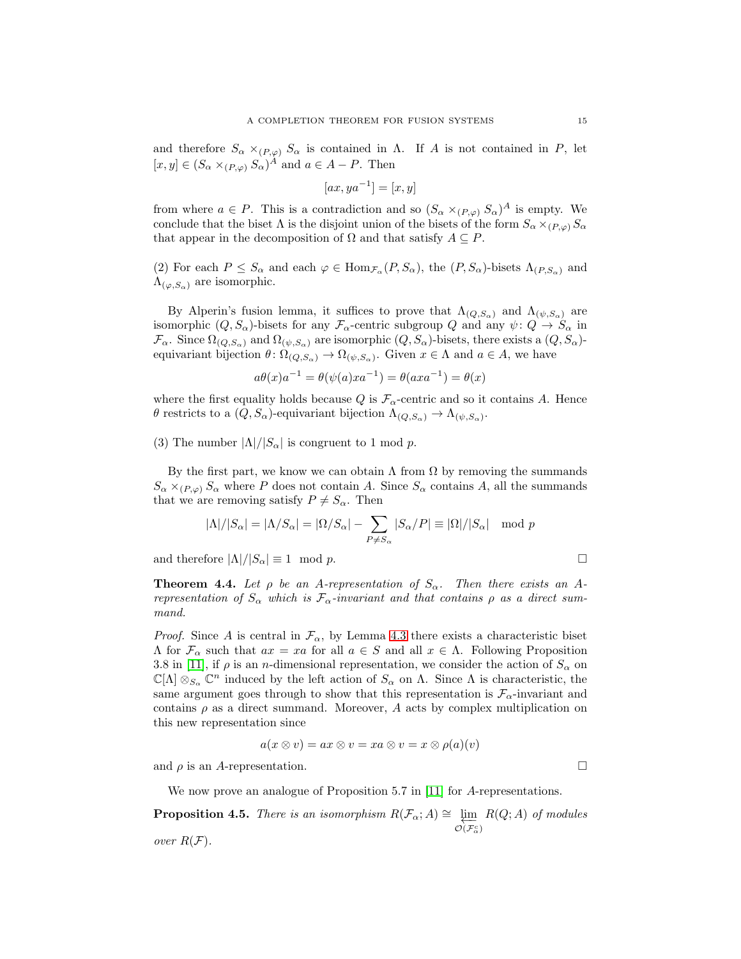and therefore  $S_{\alpha} \times_{(P,\varphi)} S_{\alpha}$  is contained in  $\Lambda$ . If A is not contained in P, let  $[x, y] \in (S_\alpha \times_{(P,\varphi)} S_\alpha)^A$  and  $a \in A - P$ . Then

$$
[ax, ya^{-1}] = [x, y]
$$

from where  $a \in P$ . This is a contradiction and so  $(S_\alpha \times_{(P,\varphi)} S_\alpha)^A$  is empty. We conclude that the biset  $\Lambda$  is the disjoint union of the bisets of the form  $S_{\alpha} \times_{(P,\varphi)} S_{\alpha}$ that appear in the decomposition of  $\Omega$  and that satisfy  $A \subseteq P$ .

(2) For each  $P \leq S_\alpha$  and each  $\varphi \in \text{Hom}_{\mathcal{F}_\alpha}(P, S_\alpha)$ , the  $(P, S_\alpha)$ -bisets  $\Lambda_{(P, S_\alpha)}$  and  $\Lambda_{(\varphi,S_{\alpha})}$  are isomorphic.

By Alperin's fusion lemma, it suffices to prove that  $\Lambda_{(Q,S_\alpha)}$  and  $\Lambda_{(\psi,S_\alpha)}$  are isomorphic  $(Q, S_{\alpha})$ -bisets for any  $\mathcal{F}_{\alpha}$ -centric subgroup Q and any  $\psi: Q \to S_{\alpha}$  in  $\mathcal{F}_{\alpha}$ . Since  $\Omega_{(Q,S_{\alpha})}$  and  $\Omega_{(\psi,S_{\alpha})}$  are isomorphic  $(Q, S_{\alpha})$ -bisets, there exists a  $(Q, S_{\alpha})$ equivariant bijection  $\theta \colon \Omega_{(Q,S_{\alpha})} \to \Omega_{(\psi,S_{\alpha})}$ . Given  $x \in \Lambda$  and  $a \in A$ , we have

$$
a\theta(x)a^{-1} = \theta(\psi(a)xa^{-1}) = \theta(axa^{-1}) = \theta(x)
$$

where the first equality holds because Q is  $\mathcal{F}_{\alpha}$ -centric and so it contains A. Hence θ restricts to a  $(Q, S_{\alpha})$ -equivariant bijection  $\Lambda_{(Q, S_{\alpha})} \to \Lambda_{(\psi, S_{\alpha})}$ .

(3) The number  $|\Lambda|/|S_{\alpha}|$  is congruent to 1 mod p.

By the first part, we know we can obtain  $\Lambda$  from  $\Omega$  by removing the summands  $S_{\alpha} \times_{(P,\varphi)} S_{\alpha}$  where P does not contain A. Since  $S_{\alpha}$  contains A, all the summands that we are removing satisfy  $P \neq S_{\alpha}$ . Then

$$
|\Lambda|/|S_{\alpha}| = |\Lambda/S_{\alpha}| = |\Omega/S_{\alpha}| - \sum_{P \neq S_{\alpha}} |S_{\alpha}/P| \equiv |\Omega|/|S_{\alpha}| \mod p
$$

and therefore  $|\Lambda|/|S_{\alpha}| \equiv 1 \mod p$ .

<span id="page-14-0"></span>**Theorem 4.4.** Let  $\rho$  be an A-representation of  $S_\alpha$ . Then there exists an Arepresentation of  $S_{\alpha}$  which is  $\mathcal{F}_{\alpha}$ -invariant and that contains  $\rho$  as a direct summand.

*Proof.* Since A is central in  $\mathcal{F}_{\alpha}$ , by Lemma [4.3](#page-13-0) there exists a characteristic biset Λ for F<sup>α</sup> such that ax = xa for all a ∈ S and all x ∈ Λ. Following Proposition 3.8 in [\[11\]](#page-27-11), if  $\rho$  is an *n*-dimensional representation, we consider the action of  $S_\alpha$  on  $\mathbb{C}[\Lambda]\otimes_{S_\alpha}\mathbb{C}^n$  induced by the left action of  $S_\alpha$  on  $\Lambda$ . Since  $\Lambda$  is characteristic, the same argument goes through to show that this representation is  $\mathcal{F}_{\alpha}$ -invariant and contains  $\rho$  as a direct summand. Moreover, A acts by complex multiplication on this new representation since

$$
a(x \otimes v) = ax \otimes v = xa \otimes v = x \otimes \rho(a)(v)
$$

and  $\rho$  is an A-representation.

We now prove an analogue of Proposition 5.7 in [\[11\]](#page-27-11) for A-representations.

<span id="page-14-1"></span>**Proposition 4.5.** There is an isomorphism  $R(\mathcal{F}_{\alpha}; A) \cong \varprojlim_{\mathcal{O}(\mathcal{F}_{\alpha}^c)}$  $R(Q; A)$  of modules over  $R(F)$ .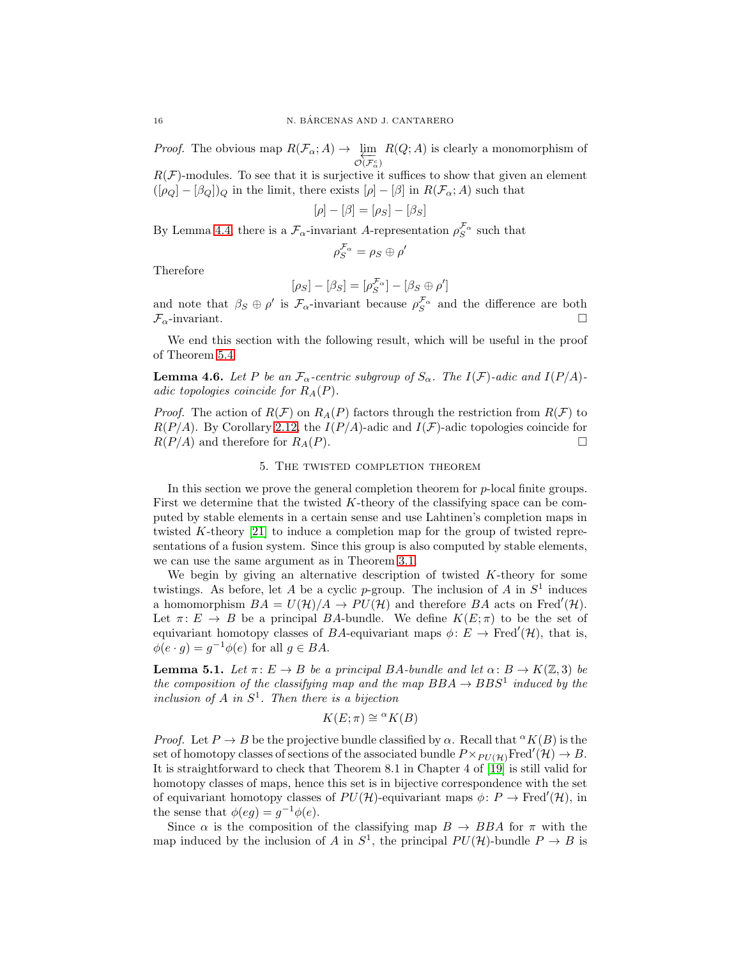*Proof.* The obvious map  $R(\mathcal{F}_{\alpha}; A) \rightarrow \varprojlim_{\mathcal{O}(\mathcal{F}_{\alpha}^c)}$  $R(Q; A)$  is clearly a monomorphism of

 $R(\mathcal{F})$ -modules. To see that it is surjective it suffices to show that given an element  $([\rho_Q] - [\beta_Q])_Q$  in the limit, there exists  $[\rho] - [\beta]$  in  $R(\mathcal{F}_{\alpha}; A)$  such that

$$
[\rho]-[\beta]=[\rho_S]-[\beta_S]
$$

By Lemma [4.4,](#page-14-0) there is a  $\mathcal{F}_{\alpha}$ -invariant A-representation  $\rho_S^{\mathcal{F}_{\alpha}}$  such that

$$
\rho_S^{{\cal F}_\alpha} = \rho_S \oplus \rho'
$$

Therefore

$$
[\rho_S] - [\beta_S] = [\rho_S^{\mathcal{F}_\alpha}] - [\beta_S \oplus \rho']
$$

and note that  $\beta_S \oplus \rho'$  is  $\mathcal{F}_{\alpha}$ -invariant because  $\rho_S^{\mathcal{F}_{\alpha}}$  and the difference are both  $\mathcal{F}_{\alpha}$ -invariant.

We end this section with the following result, which will be useful in the proof of Theorem [5.4](#page-17-0)

<span id="page-15-2"></span>**Lemma 4.6.** Let P be an  $\mathcal{F}_{\alpha}$ -centric subgroup of  $S_{\alpha}$ . The  $I(\mathcal{F})$ -adic and  $I(P/A)$ adic topologies coincide for  $R_A(P)$ .

*Proof.* The action of  $R(F)$  on  $R_A(P)$  factors through the restriction from  $R(F)$  to  $R(P/A)$ . By Corollary [2.12,](#page-8-2) the  $I(P/A)$ -adic and  $I(F)$ -adic topologies coincide for  $R(P/A)$  and therefore for  $R_A(P)$ .

# 5. The twisted completion theorem

<span id="page-15-0"></span>In this section we prove the general completion theorem for  $p$ -local finite groups. First we determine that the twisted K-theory of the classifying space can be computed by stable elements in a certain sense and use Lahtinen's completion maps in twisted K-theory [\[21\]](#page-27-3) to induce a completion map for the group of twisted representations of a fusion system. Since this group is also computed by stable elements, we can use the same argument as in Theorem [3.1.](#page-9-1)

We begin by giving an alternative description of twisted  $K$ -theory for some twistings. As before, let A be a cyclic p-group. The inclusion of A in  $S^1$  induces a homomorphism  $BA = U(\mathcal{H})/A \rightarrow PU(\mathcal{H})$  and therefore BA acts on Fred'(H). Let  $\pi: E \to B$  be a principal BA-bundle. We define  $K(E; \pi)$  to be the set of equivariant homotopy classes of BA-equivariant maps  $\phi: E \to \text{Fred}'(\mathcal{H})$ , that is,  $\phi(e \cdot g) = g^{-1}\phi(e)$  for all  $g \in BA$ .

<span id="page-15-1"></span>**Lemma 5.1.** Let  $\pi: E \to B$  be a principal BA-bundle and let  $\alpha: B \to K(\mathbb{Z}, 3)$  be the composition of the classifying map and the map  $BBA \rightarrow BBS^1$  induced by the inclusion of A in  $S^1$ . Then there is a bijection

$$
K(E; \pi) \cong {}^{\alpha}K(B)
$$

*Proof.* Let  $P \to B$  be the projective bundle classified by  $\alpha$ . Recall that  $^{\alpha}K(B)$  is the set of homotopy classes of sections of the associated bundle  $P \times_{PU(\mathcal{H})}\text{Fred}'(\mathcal{H}) \to B$ . It is straightforward to check that Theorem 8.1 in Chapter 4 of [\[19\]](#page-27-24) is still valid for homotopy classes of maps, hence this set is in bijective correspondence with the set of equivariant homotopy classes of  $PU(\mathcal{H})$ -equivariant maps  $\phi \colon P \to \text{Fred}'(\mathcal{H})$ , in the sense that  $\phi(eg) = g^{-1}\phi(e)$ .

Since  $\alpha$  is the composition of the classifying map  $B \to BBA$  for  $\pi$  with the map induced by the inclusion of A in  $S^1$ , the principal  $PU(\mathcal{H})$ -bundle  $P \to B$  is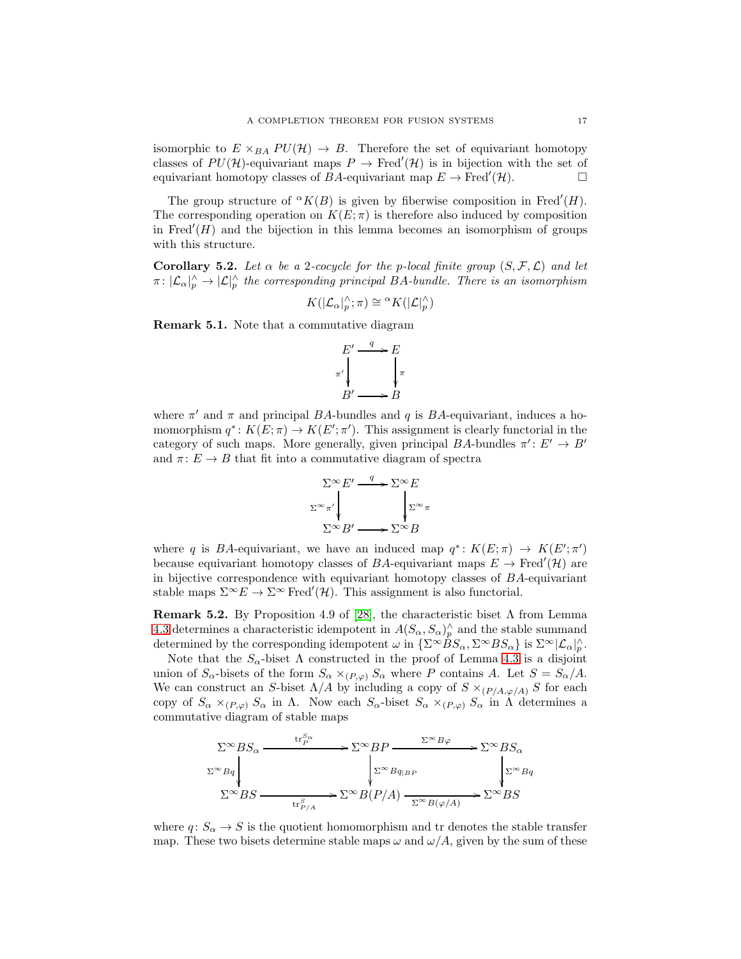isomorphic to  $E \times_{BA} PU(\mathcal{H}) \rightarrow B$ . Therefore the set of equivariant homotopy classes of  $PU(\mathcal{H})$ -equivariant maps  $P \to \text{Fred}'(\mathcal{H})$  is in bijection with the set of equivariant homotopy classes of BA-equivariant map  $E \to \text{Fred}'(\mathcal{H})$ .

The group structure of  ${}^{\alpha}K(B)$  is given by fiberwise composition in Fred'(H). The corresponding operation on  $K(E; \pi)$  is therefore also induced by composition in Fred $'(H)$  and the bijection in this lemma becomes an isomorphism of groups with this structure.

<span id="page-16-0"></span>Corollary 5.2. Let  $\alpha$  be a 2-cocycle for the p-local finite group  $(S, \mathcal{F}, \mathcal{L})$  and let  $\pi: |\mathcal{L}_{\alpha}|^{\wedge}_p \to |\mathcal{L}|^{\wedge}_p$  the corresponding principal BA-bundle. There is an isomorphism

$$
K(|\mathcal{L}_{\alpha}|_p^{\wedge}; \pi) \cong {}^{\alpha}K(|\mathcal{L}|_p^{\wedge})
$$

Remark 5.1. Note that a commutative diagram

$$
E' \xrightarrow{\quad q \quad} E
$$
  
\n
$$
\pi' \downarrow \qquad \qquad \downarrow \pi
$$
  
\n
$$
B' \longrightarrow B
$$

where  $\pi'$  and  $\pi$  and principal BA-bundles and q is BA-equivariant, induces a homomorphism  $q^*: K(E; \pi) \to K(E'; \pi')$ . This assignment is clearly functorial in the category of such maps. More generally, given principal  $BA$ -bundles  $\pi' : E' \to B'$ and  $\pi: E \to B$  that fit into a commutative diagram of spectra



where q is BA-equivariant, we have an induced map  $q^*: K(E; \pi) \to K(E'; \pi')$ because equivariant homotopy classes of BA-equivariant maps  $E \to \text{Fred}'(\mathcal{H})$  are in bijective correspondence with equivariant homotopy classes of  $BA$ -equivariant stable maps  $\Sigma^{\infty} E \to \Sigma^{\infty}$  Fred'(H). This assignment is also functorial.

**Remark 5.2.** By Proposition 4.9 of [\[28\]](#page-28-3), the characteristic biset  $\Lambda$  from Lemma [4.3](#page-13-0) determines a characteristic idempotent in  $A(S_\alpha, S_\alpha)^\wedge$  and the stable summand determined by the corresponding idempotent  $\omega$  in  $\{\Sigma^{\infty} \dot{B} S_{\alpha}, \Sigma^{\infty} B S_{\alpha}\}\$ is  $\Sigma^{\infty} |\mathcal{L}_{\alpha}|_{p}^{\wedge}$ .

Note that the  $S_{\alpha}$ -biset  $\Lambda$  constructed in the proof of Lemma [4.3](#page-13-0) is a disjoint union of  $S_\alpha$ -bisets of the form  $S_\alpha \times_{(P,\varphi)} S_\alpha$  where P contains A. Let  $S = S_\alpha/A$ . We can construct an S-biset  $\Lambda/A$  by including a copy of  $S \times_{(P/A,\varphi/A)} S$  for each copy of  $S_\alpha \times_{(P,\varphi)} S_\alpha$  in  $\Lambda$ . Now each  $S_\alpha$ -biset  $S_\alpha \times_{(P,\varphi)} S_\alpha$  in  $\Lambda$  determines a commutative diagram of stable maps

$$
\Sigma^{\infty}BS_{\alpha} \xrightarrow{\text{tr}_{P}^{S_{\alpha}}} \Sigma^{\infty}BP \xrightarrow{\Sigma^{\infty}B\varphi} \Sigma^{\infty}BS_{\alpha}
$$
\n
$$
\Sigma^{\infty}Bg \xrightarrow{\Sigma^{\infty}Bg_{|BP}} \Sigma^{\infty}Bg
$$
\n
$$
\Sigma^{\infty}BS \xrightarrow{\text{tr}_{P/A}^{S}} \Sigma^{\infty}B(P/A) \xrightarrow{\Sigma^{\infty}B(\varphi/A)} \Sigma^{\infty}BS
$$

where  $q: S_{\alpha} \to S$  is the quotient homomorphism and tr denotes the stable transfer map. These two bisets determine stable maps  $\omega$  and  $\omega/A$ , given by the sum of these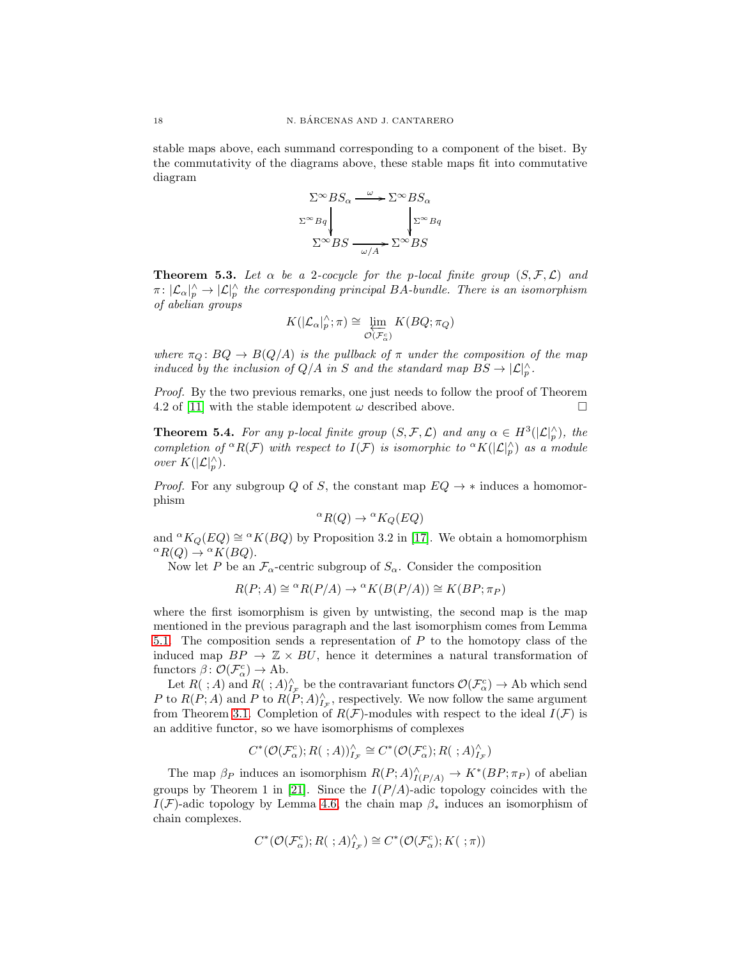stable maps above, each summand corresponding to a component of the biset. By the commutativity of the diagrams above, these stable maps fit into commutative diagram

$$
\Sigma^{\infty}BS_{\alpha} \xrightarrow{\omega} \Sigma^{\infty}BS_{\alpha}
$$

$$
\Sigma^{\infty}Bq \qquad \qquad \downarrow \Sigma^{\infty}Bq
$$

$$
\Sigma^{\infty}BS \xrightarrow{\omega/A} \Sigma^{\infty}BS
$$

<span id="page-17-1"></span>**Theorem 5.3.** Let  $\alpha$  be a 2-cocycle for the p-local finite group  $(S, \mathcal{F}, \mathcal{L})$  and  $\pi: |\mathcal{L}_{\alpha}|^{\wedge}_p \to |\mathcal{L}|^{\wedge}_p$  the corresponding principal BA-bundle. There is an isomorphism of abelian groups

$$
K(|\mathcal{L}_\alpha|_p^\wedge; \pi) \cong \varprojlim_{\mathcal{O}(\mathcal{F}_\alpha^c)} K(BQ; \pi_Q)
$$

where  $\pi_{\Omega} : BQ \to B(Q/A)$  is the pullback of  $\pi$  under the composition of the map induced by the inclusion of  $Q/A$  in S and the standard map  $BS \to |\mathcal{L}|_p^{\wedge}$ .

Proof. By the two previous remarks, one just needs to follow the proof of Theorem 4.2 of [\[11\]](#page-27-11) with the stable idempotent  $\omega$  described above.

<span id="page-17-0"></span>**Theorem 5.4.** For any p-local finite group  $(S, \mathcal{F}, \mathcal{L})$  and any  $\alpha \in H^3(|\mathcal{L}|_p^{\wedge})$ , the completion of  ${}^{\alpha}R(\mathcal{F})$  with respect to  $I(\mathcal{F})$  is isomorphic to  ${}^{\alpha}K(|\mathcal{L}|_p^{\wedge})$  as a module over  $K(|\mathcal{L}|_p^{\wedge}).$ 

*Proof.* For any subgroup Q of S, the constant map  $EQ \rightarrow *$  induces a homomorphism

$$
{}^{\alpha}R(Q) \to {}^{\alpha}K_Q(EQ)
$$

and  ${}^{\alpha}K_Q(EQ) \cong {}^{\alpha}K(BQ)$  by Proposition 3.2 in [\[17\]](#page-27-25). We obtain a homomorphism  ${}^{\alpha}R(Q) \rightarrow {}^{\alpha}K(BQ).$ 

Now let P be an  $\mathcal{F}_{\alpha}$ -centric subgroup of  $S_{\alpha}$ . Consider the composition

$$
R(P; A) \cong {}^{\alpha}R(P/A) \to {}^{\alpha}K(B(P/A)) \cong K(BP; \pi_P)
$$

where the first isomorphism is given by untwisting, the second map is the map mentioned in the previous paragraph and the last isomorphism comes from Lemma [5.1.](#page-15-1) The composition sends a representation of P to the homotopy class of the induced map  $BP \to \mathbb{Z} \times BU$ , hence it determines a natural transformation of functors  $\beta \colon \mathcal{O}(\mathcal{F}_{\alpha}^{c}) \to \text{Ab}.$ 

Let  $R(\cdot; A)$  and  $R(\cdot; A)_{I_{\mathcal{F}}}^{\wedge}$  be the contravariant functors  $\mathcal{O}(\mathcal{F}_{\alpha}^{c}) \to$  Ab which send P to  $R(P; A)$  and P to  $R(P; A)_{I_{\mathcal{F}}}^{\wedge}$ , respectively. We now follow the same argument from Theorem [3.1.](#page-9-1) Completion of  $R(F)$ -modules with respect to the ideal  $I(F)$  is an additive functor, so we have isomorphisms of complexes

$$
C^*(\mathcal{O}(\mathcal{F}^c_\alpha);R(\ ;A))^\wedge_{I_\mathcal{F}}\cong C^*(\mathcal{O}(\mathcal{F}^c_\alpha);R(\ ;A)^\wedge_{I_\mathcal{F}})
$$

The map  $\beta_P$  induces an isomorphism  $R(P;A)_{I(P/A)}^{\wedge} \to K^*(BP;\pi_P)$  of abelian groups by Theorem 1 in [\[21\]](#page-27-3). Since the  $I(P/A)$ -adic topology coincides with the I(F)-adic topology by Lemma [4.6,](#page-15-2) the chain map  $\beta_*$  induces an isomorphism of chain complexes.

$$
C^*(\mathcal{O}(\mathcal{F}_{\alpha}^c);R(\ ;A)^{\wedge}_{I_{\mathcal{F}}})\cong C^*(\mathcal{O}(\mathcal{F}_{\alpha}^c);K(\ ;\pi))
$$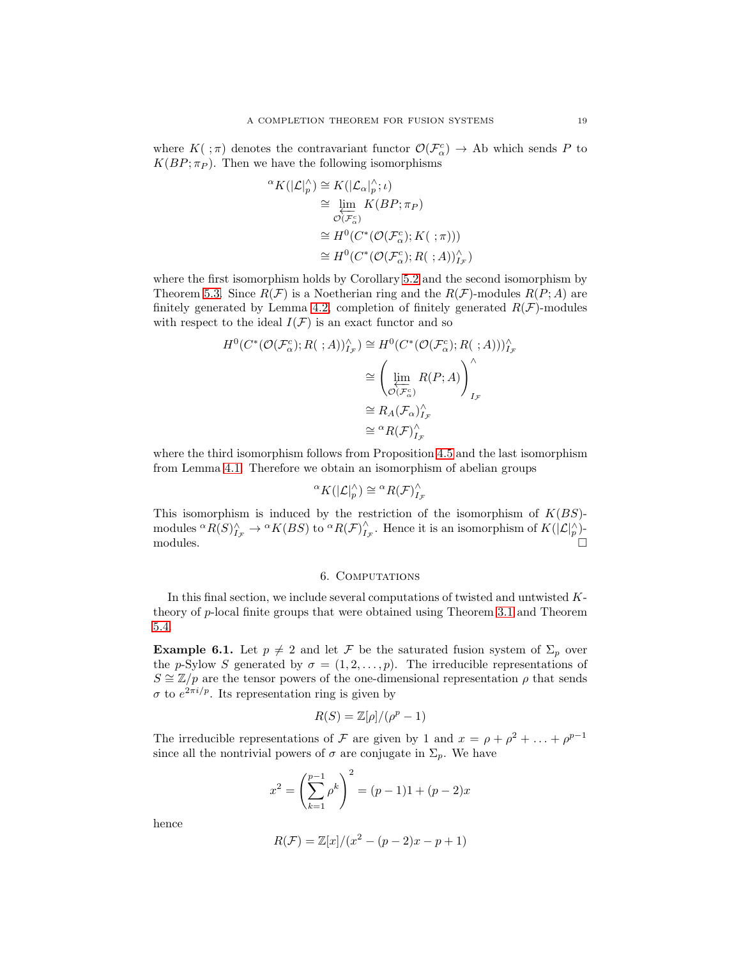where  $K(\cdot;\pi)$  denotes the contravariant functor  $\mathcal{O}(\mathcal{F}_{\alpha}^{c}) \to$  Ab which sends P to  $K(BP; \pi_P)$ . Then we have the following isomorphisms

$$
\alpha K(|\mathcal{L}|_p^{\wedge}) \cong K(|\mathcal{L}_{\alpha}|_p^{\wedge}; \iota)
$$
  
\n
$$
\cong \varprojlim_{\mathcal{O}(\mathcal{F}_{\alpha}^c)} K(BP; \pi_P)
$$
  
\n
$$
\cong H^0(C^*(\mathcal{O}(\mathcal{F}_{\alpha}^c); K(\ ; \pi)))
$$
  
\n
$$
\cong H^0(C^*(\mathcal{O}(\mathcal{F}_{\alpha}^c); R(\ ; A))_{I_F}^{\wedge})
$$

where the first isomorphism holds by Corollary [5.2](#page-16-0) and the second isomorphism by Theorem [5.3.](#page-17-1) Since  $R(\mathcal{F})$  is a Noetherian ring and the  $R(\mathcal{F})$ -modules  $R(P; A)$  are finitely generated by Lemma [4.2,](#page-13-1) completion of finitely generated  $R(\mathcal{F})$ -modules with respect to the ideal  $I(\mathcal{F})$  is an exact functor and so

$$
H^{0}(C^{*}(\mathcal{O}(\mathcal{F}_{\alpha}^{c}); R(\cdot; A))_{I_{\mathcal{F}}}^{\wedge}) \cong H^{0}(C^{*}(\mathcal{O}(\mathcal{F}_{\alpha}^{c}); R(\cdot; A)))_{I_{\mathcal{F}}}^{\wedge}
$$

$$
\cong \left(\varprojlim_{\mathcal{O}(\mathcal{F}_{\alpha}^{c})} R(P; A)\right)_{I_{\mathcal{F}}}^{\wedge}
$$

$$
\cong R_{A}(\mathcal{F}_{\alpha})_{I_{\mathcal{F}}}^{\wedge}
$$

$$
\cong {}^{a}R(\mathcal{F})_{I_{\mathcal{F}}}^{\wedge}
$$

where the third isomorphism follows from Proposition [4.5](#page-14-1) and the last isomorphism from Lemma [4.1.](#page-13-2) Therefore we obtain an isomorphism of abelian groups

$$
{}^{\alpha}K(|\mathcal{L}|_p^{\wedge}) \cong {}^{\alpha}R(\mathcal{F})_{I_{\mathcal{F}}}^{\wedge}
$$

This isomorphism is induced by the restriction of the isomorphism of  $K(BS)$ modules  ${}^{\alpha}R(S)_{I_{\mathcal{F}}}^{\wedge} \to {}^{\alpha}K(BS)$  to  ${}^{\alpha}R(\mathcal{F})_{I_{\mathcal{F}}}^{\wedge}$ . Hence it is an isomorphism of  $K(|\mathcal{L}|_p^{\wedge})$ modules.  $\square$ 

### 6. COMPUTATIONS

<span id="page-18-0"></span>In this final section, we include several computations of twisted and untwisted Ktheory of p-local finite groups that were obtained using Theorem [3.1](#page-9-1) and Theorem [5.4.](#page-17-0)

**Example 6.1.** Let  $p \neq 2$  and let F be the saturated fusion system of  $\Sigma_p$  over the p-Sylow S generated by  $\sigma = (1, 2, \ldots, p)$ . The irreducible representations of  $S \cong \mathbb{Z}/p$  are the tensor powers of the one-dimensional representation  $\rho$  that sends  $\sigma$  to  $e^{2\pi i/p}$ . Its representation ring is given by

$$
R(S) = \mathbb{Z}[\rho]/(\rho^p - 1)
$$

The irreducible representations of F are given by 1 and  $x = \rho + \rho^2 + \ldots + \rho^{p-1}$ since all the nontrivial powers of  $\sigma$  are conjugate in  $\Sigma_p$ . We have

$$
x^{2} = \left(\sum_{k=1}^{p-1} \rho^{k}\right)^{2} = (p-1)1 + (p-2)x
$$

hence

$$
R(F) = \mathbb{Z}[x]/(x^2 - (p-2)x - p + 1)
$$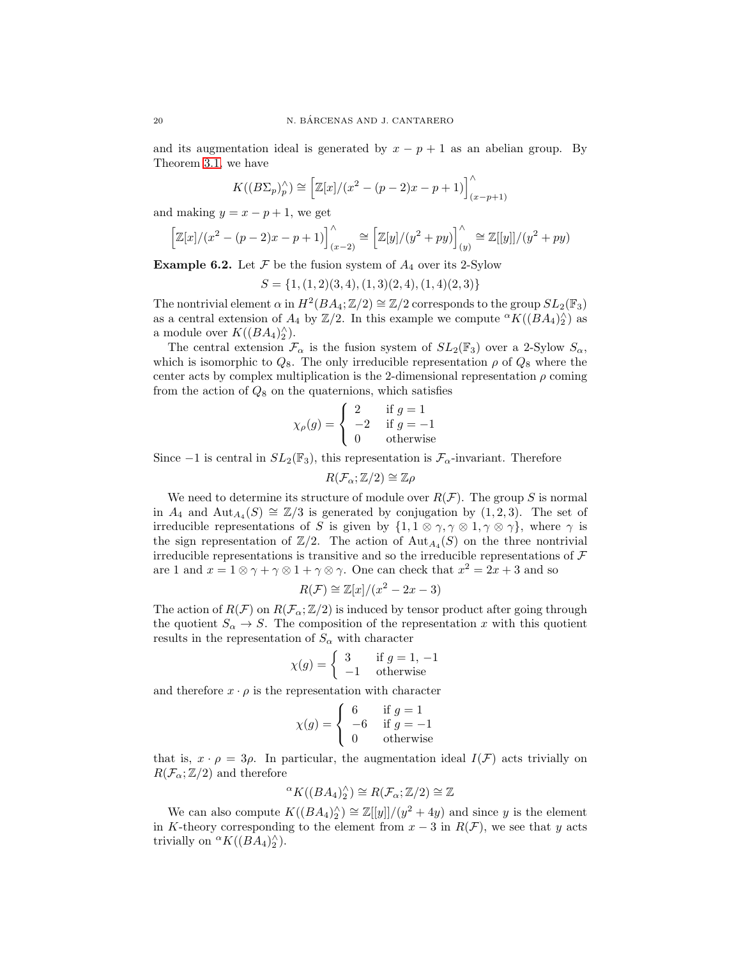and its augmentation ideal is generated by  $x - p + 1$  as an abelian group. By Theorem [3.1,](#page-9-1) we have

$$
K((B\Sigma_p)_p^{\wedge}) \cong \left[ \mathbb{Z}[x]/(x^2 - (p-2)x - p + 1) \right]_{(x-p+1)}^{\wedge}
$$

and making  $y = x - p + 1$ , we get

$$
\[Z[x]/(x^2 - (p-2)x - p + 1)\]_{(x-2)}^{\wedge} \cong \[Z[y]/(y^2 + py)\]_{(y)}^{\wedge} \cong \mathbb{Z}[[y]]/(y^2 + py)
$$

**Example 6.2.** Let  $\mathcal F$  be the fusion system of  $A_4$  over its 2-Sylow

 $S = \{1, (1, 2)(3, 4), (1, 3)(2, 4), (1, 4)(2, 3)\}\$ 

The nontrivial element  $\alpha$  in  $H^2(BA_4; \mathbb{Z}/2) \cong \mathbb{Z}/2$  corresponds to the group  $SL_2(\mathbb{F}_3)$ as a central extension of  $A_4$  by  $\mathbb{Z}/2$ . In this example we compute  ${}^{\alpha}K((BA_4)_2^{\wedge})$  as a module over  $K((BA_4)_2^{\wedge}).$ 

The central extension  $\mathcal{F}_{\alpha}$  is the fusion system of  $SL_2(\mathbb{F}_3)$  over a 2-Sylow  $S_{\alpha}$ , which is isomorphic to  $Q_8$ . The only irreducible representation  $\rho$  of  $Q_8$  where the center acts by complex multiplication is the 2-dimensional representation  $\rho$  coming from the action of  $Q_8$  on the quaternions, which satisfies

$$
\chi_{\rho}(g) = \begin{cases}\n2 & \text{if } g = 1 \\
-2 & \text{if } g = -1 \\
0 & \text{otherwise}\n\end{cases}
$$

Since  $-1$  is central in  $SL_2(\mathbb{F}_3)$ , this representation is  $\mathcal{F}_{\alpha}$ -invariant. Therefore

$$
R(\mathcal{F}_{\alpha}; \mathbb{Z}/2) \cong \mathbb{Z}\rho
$$

We need to determine its structure of module over  $R(\mathcal{F})$ . The group S is normal in  $A_4$  and  $\text{Aut}_{A_4}(S) \cong \mathbb{Z}/3$  is generated by conjugation by  $(1, 2, 3)$ . The set of irreducible representations of S is given by  $\{1, 1 \otimes \gamma, \gamma \otimes 1, \gamma \otimes \gamma\}$ , where  $\gamma$  is the sign representation of  $\mathbb{Z}/2$ . The action of  $\text{Aut}_{A_4}(S)$  on the three nontrivial irreducible representations is transitive and so the irreducible representations of  $\mathcal F$ are 1 and  $x = 1 \otimes \gamma + \gamma \otimes 1 + \gamma \otimes \gamma$ . One can check that  $x^2 = 2x + 3$  and so

$$
R(\mathcal{F}) \cong \mathbb{Z}[x]/(x^2 - 2x - 3)
$$

The action of  $R(F)$  on  $R(F_{\alpha}; \mathbb{Z}/2)$  is induced by tensor product after going through the quotient  $S_{\alpha} \to S$ . The composition of the representation x with this quotient results in the representation of  $S_{\alpha}$  with character

$$
\chi(g) = \begin{cases} 3 & \text{if } g = 1, -1 \\ -1 & \text{otherwise} \end{cases}
$$

and therefore  $x \cdot \rho$  is the representation with character

$$
\chi(g) = \begin{cases} 6 & \text{if } g = 1 \\ -6 & \text{if } g = -1 \\ 0 & \text{otherwise} \end{cases}
$$

that is,  $x \cdot \rho = 3\rho$ . In particular, the augmentation ideal  $I(\mathcal{F})$  acts trivially on  $R(\mathcal{F}_{\alpha}; \mathbb{Z}/2)$  and therefore

$$
{}^{\alpha}K((BA_4)_2^{\wedge}) \cong R(\mathcal{F}_{\alpha}; \mathbb{Z}/2) \cong \mathbb{Z}
$$

We can also compute  $K((BA_4)_2^{\wedge}) \cong \mathbb{Z}[[y]]/(y^2+4y)$  and since y is the element in K-theory corresponding to the element from  $x - 3$  in  $R(F)$ , we see that y acts trivially on  ${}^{\alpha}K((BA_4)_2^{\wedge}).$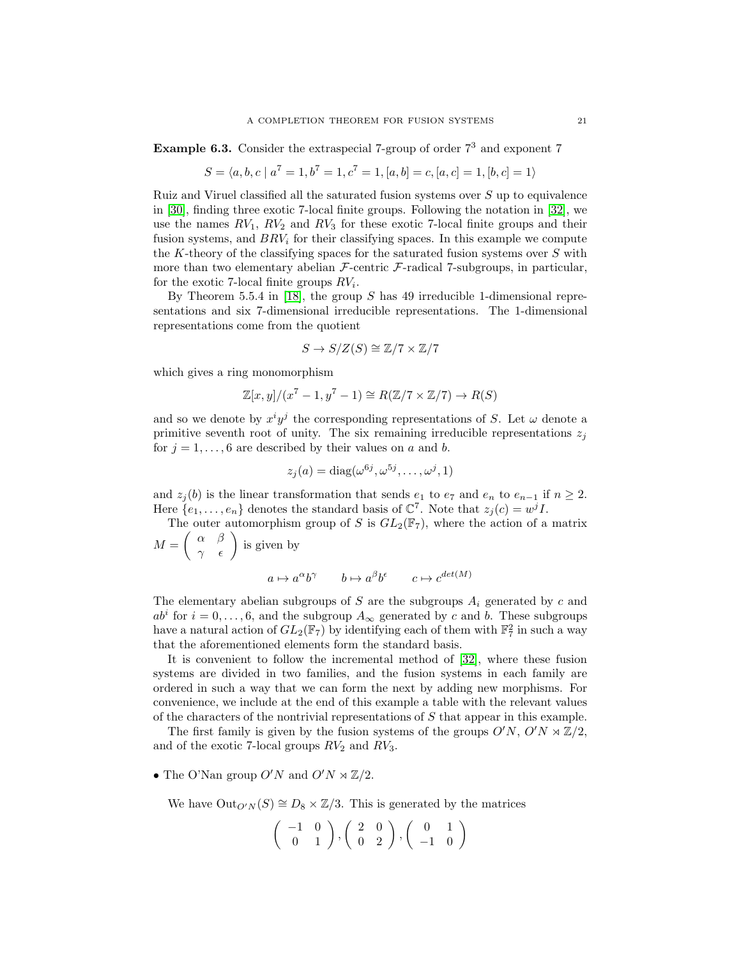**Example 6.3.** Consider the extraspecial 7-group of order  $7<sup>3</sup>$  and exponent 7

$$
S = \langle a, b, c \mid a^7 = 1, b^7 = 1, c^7 = 1, [a, b] = c, [a, c] = 1, [b, c] = 1 \rangle
$$

Ruiz and Viruel classified all the saturated fusion systems over  $S$  up to equivalence in [\[30\]](#page-28-0), finding three exotic 7-local finite groups. Following the notation in [\[32\]](#page-28-4), we use the names  $RV_1$ ,  $RV_2$  and  $RV_3$  for these exotic 7-local finite groups and their fusion systems, and  $BRV_i$  for their classifying spaces. In this example we compute the K-theory of the classifying spaces for the saturated fusion systems over  $S$  with more than two elementary abelian  $\mathcal{F}\text{-centric }\mathcal{F}\text{-radical 7-subgroups, in particular, }$ for the exotic 7-local finite groups  $RV_i$ .

By Theorem 5.5.4 in [\[18\]](#page-27-26), the group S has 49 irreducible 1-dimensional representations and six 7-dimensional irreducible representations. The 1-dimensional representations come from the quotient

$$
S \to S/Z(S) \cong \mathbb{Z}/7 \times \mathbb{Z}/7
$$

which gives a ring monomorphism

$$
\mathbb{Z}[x,y]/(x^7-1,y^7-1) \cong R(\mathbb{Z}/7 \times \mathbb{Z}/7) \to R(S)
$$

and so we denote by  $x^i y^j$  the corresponding representations of S. Let  $\omega$  denote a primitive seventh root of unity. The six remaining irreducible representations  $z_i$ for  $j = 1, \ldots, 6$  are described by their values on a and b.

$$
z_j(a) = \text{diag}(\omega^{6j}, \omega^{5j}, \dots, \omega^j, 1)
$$

and  $z_j(b)$  is the linear transformation that sends  $e_1$  to  $e_7$  and  $e_n$  to  $e_{n-1}$  if  $n \geq 2$ . Here  $\{e_1, \ldots, e_n\}$  denotes the standard basis of  $\mathbb{C}^7$ . Note that  $z_j(c) = w^j I$ .

The outer automorphism group of S is  $GL_2(\mathbb{F}_7)$ , where the action of a matrix  $M =$  $\begin{pmatrix} \alpha & \beta \\ \gamma & \epsilon \end{pmatrix}$  is given by

$$
a\mapsto a^{\alpha}b^{\gamma}\qquad b\mapsto a^{\beta}b^{\epsilon}\qquad c\mapsto c^{det(M)}
$$

The elementary abelian subgroups of S are the subgroups  $A_i$  generated by c and  $ab^i$  for  $i = 0, \ldots, 6$ , and the subgroup  $A_{\infty}$  generated by c and b. These subgroups have a natural action of  $GL_2(\mathbb{F}_7)$  by identifying each of them with  $\mathbb{F}_7^2$  in such a way that the aforementioned elements form the standard basis.

It is convenient to follow the incremental method of [\[32\]](#page-28-4), where these fusion systems are divided in two families, and the fusion systems in each family are ordered in such a way that we can form the next by adding new morphisms. For convenience, we include at the end of this example a table with the relevant values of the characters of the nontrivial representations of S that appear in this example.

The first family is given by the fusion systems of the groups  $O'N$ ,  $O'N \rtimes \mathbb{Z}/2$ , and of the exotic 7-local groups  $RV_2$  and  $RV_3$ .

• The O'Nan group O'N and  $O'N \rtimes \mathbb{Z}/2$ .

We have  $\text{Out}_{O'N}(S) \cong D_8 \times \mathbb{Z}/3$ . This is generated by the matrices

$$
\left(\begin{array}{cc} -1 & 0 \\ 0 & 1 \end{array}\right), \left(\begin{array}{cc} 2 & 0 \\ 0 & 2 \end{array}\right), \left(\begin{array}{cc} 0 & 1 \\ -1 & 0 \end{array}\right)
$$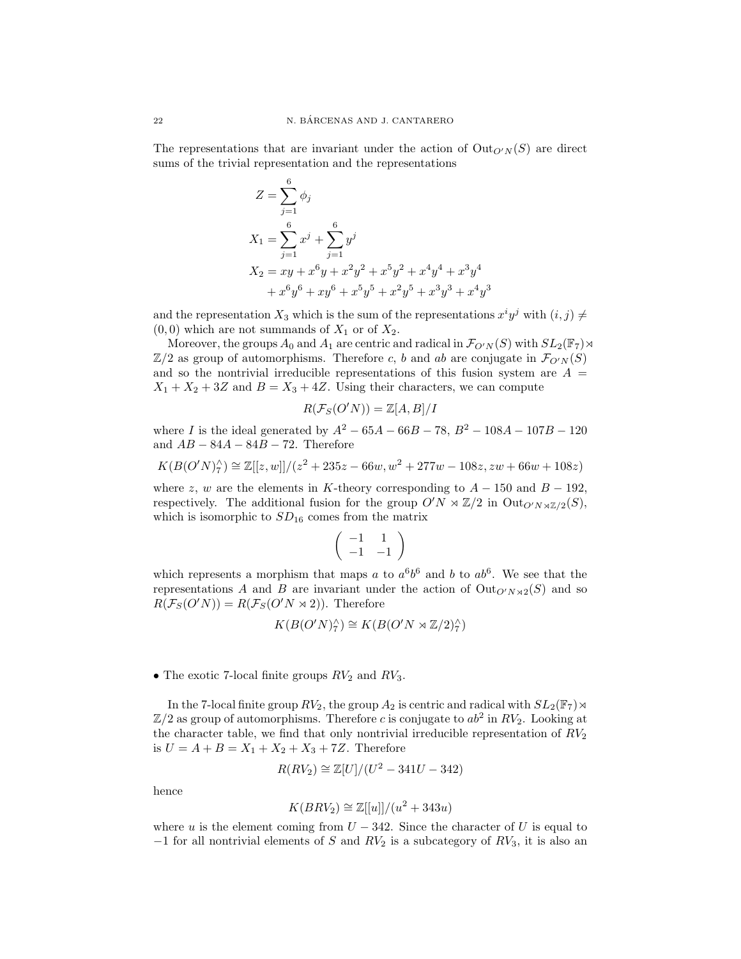The representations that are invariant under the action of  $\text{Out}_{O'N}(S)$  are direct sums of the trivial representation and the representations

$$
Z = \sum_{j=1}^{6} \phi_j
$$
  
\n
$$
X_1 = \sum_{j=1}^{6} x^j + \sum_{j=1}^{6} y^j
$$
  
\n
$$
X_2 = xy + x^6y + x^2y^2 + x^5y^2 + x^4y^4 + x^3y^4
$$
  
\n
$$
+ x^6y^6 + xy^6 + x^5y^5 + x^2y^5 + x^3y^3 + x^4y^3
$$

and the representation  $X_3$  which is the sum of the representations  $x^i y^j$  with  $(i, j) \neq j$  $(0, 0)$  which are not summands of  $X_1$  or of  $X_2$ .

Moreover, the groups  $A_0$  and  $A_1$  are centric and radical in  $\mathcal{F}_{O'N}(S)$  with  $SL_2(\mathbb{F}_7) \rtimes$  $\mathbb{Z}/2$  as group of automorphisms. Therefore c, b and ab are conjugate in  $\mathcal{F}_{O'N}(S)$ and so the nontrivial irreducible representations of this fusion system are  $A =$  $X_1 + X_2 + 3Z$  and  $B = X_3 + 4Z$ . Using their characters, we can compute

$$
R(\mathcal{F}_S(O'N)) = \mathbb{Z}[A, B]/I
$$

where I is the ideal generated by  $A^2 - 65A - 66B - 78$ ,  $B^2 - 108A - 107B - 120$ and  $AB - 84A - 84B - 72$ . Therefore

$$
K(B(O'N)^{\wedge}_{7}) \cong \mathbb{Z}[[z,w]]/(z^2 + 235z - 66w, w^2 + 277w - 108z, zw + 66w + 108z)
$$

where z, w are the elements in K-theory corresponding to  $A - 150$  and  $B - 192$ , respectively. The additional fusion for the group  $O'N \rtimes \mathbb{Z}/2$  in  $Out_{O'N \rtimes \mathbb{Z}/2}(S)$ , which is isomorphic to  $SD_{16}$  comes from the matrix

$$
\left(\begin{array}{cc} -1 & 1 \\ -1 & -1 \end{array}\right)
$$

which represents a morphism that maps a to  $a^6b^6$  and b to  $ab^6$ . We see that the representations A and B are invariant under the action of  $Out_{O'N\rtimes2}(S)$  and so  $R(\mathcal{F}_S(O'N)) = R(\mathcal{F}_S(O'N \rtimes 2)).$  Therefore

$$
K(B(O'N)_{7}^{\wedge}) \cong K(B(O'N \rtimes \mathbb{Z}/2)_{7}^{\wedge})
$$

## • The exotic 7-local finite groups  $RV_2$  and  $RV_3$ .

In the 7-local finite group  $RV_2$ , the group  $A_2$  is centric and radical with  $SL_2(\mathbb{F}_7) \rtimes$  $\mathbb{Z}/2$  as group of automorphisms. Therefore c is conjugate to  $ab^2$  in  $RV_2$ . Looking at the character table, we find that only nontrivial irreducible representation of  $RV_2$ is  $U = A + B = X_1 + X_2 + X_3 + 7Z$ . Therefore

$$
R(RV_2) \cong \mathbb{Z}[U]/(U^2 - 341U - 342)
$$

hence

$$
K(BRV_2) \cong \mathbb{Z}[[u]]/(u^2 + 343u)
$$

where u is the element coming from  $U - 342$ . Since the character of U is equal to  $-1$  for all nontrivial elements of S and  $RV_2$  is a subcategory of  $RV_3$ , it is also an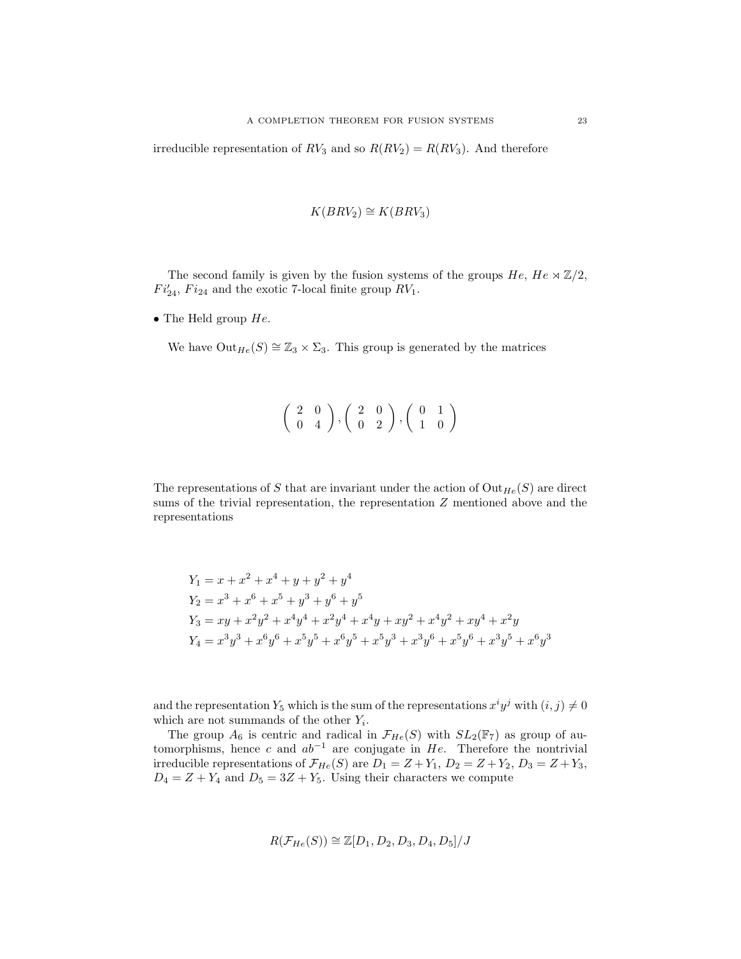irreducible representation of  $RV_3$  and so  $R(RV_2) = R(RV_3)$ . And therefore

$$
K(BRV_2) \cong K(BRV_3)
$$

The second family is given by the fusion systems of the groups  $He$ ,  $He \propto \mathbb{Z}/2$ ,  $Fi'_{24}$ ,  $Fi_{24}$  and the exotic 7-local finite group  $RV_1$ .

• The Held group  $He$ .

We have  $Out_{He}(S) \cong \mathbb{Z}_3 \times \Sigma_3$ . This group is generated by the matrices

$$
\left(\begin{array}{cc}2&0\\0&4\end{array}\right),\left(\begin{array}{cc}2&0\\0&2\end{array}\right),\left(\begin{array}{cc}0&1\\1&0\end{array}\right)
$$

The representations of S that are invariant under the action of  $Out_{He}(S)$  are direct sums of the trivial representation, the representation Z mentioned above and the representations

$$
Y_1 = x + x^2 + x^4 + y + y^2 + y^4
$$
  
\n
$$
Y_2 = x^3 + x^6 + x^5 + y^3 + y^6 + y^5
$$
  
\n
$$
Y_3 = xy + x^2y^2 + x^4y^4 + x^2y^4 + x^4y + xy^2 + x^4y^2 + xy^4 + x^2y
$$
  
\n
$$
Y_4 = x^3y^3 + x^6y^6 + x^5y^5 + x^6y^5 + x^5y^3 + x^3y^6 + x^5y^6 + x^3y^5 + x^6y^3
$$

and the representation  $Y_5$  which is the sum of the representations  $x^i y^j$  with  $(i, j) \neq 0$ which are not summands of the other  $Y_i$ .

The group  $A_6$  is centric and radical in  $\mathcal{F}_{He}(S)$  with  $SL_2(\mathbb{F}_7)$  as group of automorphisms, hence c and  $ab^{-1}$  are conjugate in He. Therefore the nontrivial irreducible representations of  $\mathcal{F}_{He}(S)$  are  $D_1 = Z + Y_1$ ,  $D_2 = Z + Y_2$ ,  $D_3 = Z + Y_3$ ,  $D_4 = Z + Y_4$  and  $D_5 = 3Z + Y_5$ . Using their characters we compute

$$
R(\mathcal{F}_{He}(S)) \cong \mathbb{Z}[D_1, D_2, D_3, D_4, D_5]/J
$$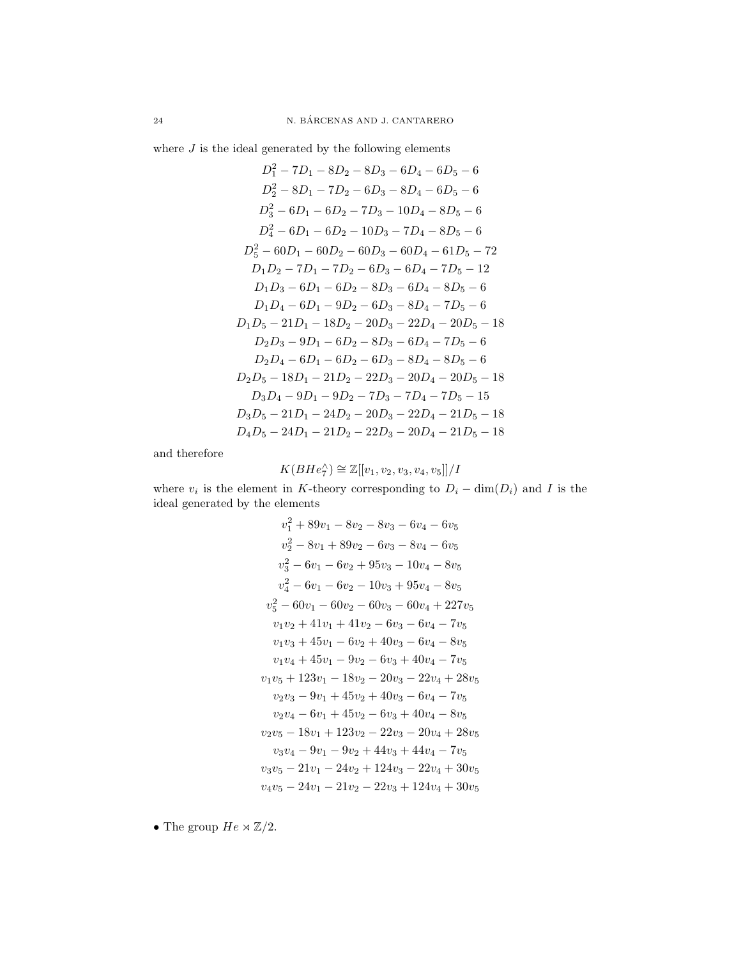where  $J$  is the ideal generated by the following elements

$$
D_1^2 - 7D_1 - 8D_2 - 8D_3 - 6D_4 - 6D_5 - 6
$$
  
\n
$$
D_2^2 - 8D_1 - 7D_2 - 6D_3 - 8D_4 - 6D_5 - 6
$$
  
\n
$$
D_3^2 - 6D_1 - 6D_2 - 7D_3 - 10D_4 - 8D_5 - 6
$$
  
\n
$$
D_4^2 - 6D_1 - 6D_2 - 10D_3 - 7D_4 - 8D_5 - 6
$$
  
\n
$$
D_5^2 - 60D_1 - 60D_2 - 60D_3 - 60D_4 - 61D_5 - 72
$$
  
\n
$$
D_1D_2 - 7D_1 - 7D_2 - 6D_3 - 6D_4 - 7D_5 - 12
$$
  
\n
$$
D_1D_3 - 6D_1 - 6D_2 - 8D_3 - 6D_4 - 8D_5 - 6
$$
  
\n
$$
D_1D_4 - 6D_1 - 9D_2 - 6D_3 - 8D_4 - 7D_5 - 6
$$
  
\n
$$
D_1D_5 - 21D_1 - 18D_2 - 20D_3 - 22D_4 - 20D_5 - 18
$$
  
\n
$$
D_2D_3 - 9D_1 - 6D_2 - 8D_3 - 6D_4 - 7D_5 - 6
$$
  
\n
$$
D_2D_4 - 6D_1 - 6D_2 - 6D_3 - 8D_4 - 8D_5 - 6
$$
  
\n
$$
D_2D_5 - 18D_1 - 21D_2 - 22D_3 - 20D_4 - 20D_5 - 18
$$
  
\n
$$
D_3D_4 - 9D_1 - 9D_2 - 7D_3 - 7D_4 - 7D_5 - 15
$$
  
\n
$$
D_3D_5 - 21D_1 - 24D_2 - 20D_3 - 22D_4 - 21D_5 - 18
$$
  
\n
$$
D_4D_5 - 24D_1 - 21D_2 -
$$

and therefore

$$
K(BHe_7^\wedge) \cong \mathbb{Z}[[v_1, v_2, v_3, v_4, v_5]]/I
$$

where  $v_i$  is the element in K-theory corresponding to  $D_i - \dim(D_i)$  and I is the ideal generated by the elements

$$
v_1^2 + 89v_1 - 8v_2 - 8v_3 - 6v_4 - 6v_5
$$
  
\n
$$
v_2^2 - 8v_1 + 89v_2 - 6v_3 - 8v_4 - 6v_5
$$
  
\n
$$
v_3^2 - 6v_1 - 6v_2 + 95v_3 - 10v_4 - 8v_5
$$
  
\n
$$
v_4^2 - 6v_1 - 6v_2 - 10v_3 + 95v_4 - 8v_5
$$
  
\n
$$
v_5^2 - 60v_1 - 60v_2 - 60v_3 - 60v_4 + 227v_5
$$
  
\n
$$
v_1v_2 + 41v_1 + 41v_2 - 6v_3 - 6v_4 - 7v_5
$$
  
\n
$$
v_1v_3 + 45v_1 - 6v_2 + 40v_3 - 6v_4 - 8v_5
$$
  
\n
$$
v_1v_4 + 45v_1 - 9v_2 - 6v_3 + 40v_4 - 7v_5
$$
  
\n
$$
v_1v_5 + 123v_1 - 18v_2 - 20v_3 - 22v_4 + 28v_5
$$
  
\n
$$
v_2v_3 - 9v_1 + 45v_2 + 40v_3 - 6v_4 - 7v_5
$$
  
\n
$$
v_2v_4 - 6v_1 + 45v_2 - 6v_3 + 40v_4 - 8v_5
$$
  
\n
$$
v_2v_5 - 18v_1 + 123v_2 - 22v_3 - 20v_4 + 28v_5
$$
  
\n
$$
v_3v_4 - 9v_1 - 9v_2 + 44v_3 + 44v_4 - 7v_5
$$
  
\n
$$
v_3v_5 - 21v_1 - 24v_2 + 124v_3 - 22v_4 + 30v_5
$$
  
\n
$$
v_4v_5 - 24v_1 - 21v_2 - 22v_3 + 124v_4 + 30v_5
$$

 $\bullet$  The group  $He \rtimes \mathbb{Z}/2.$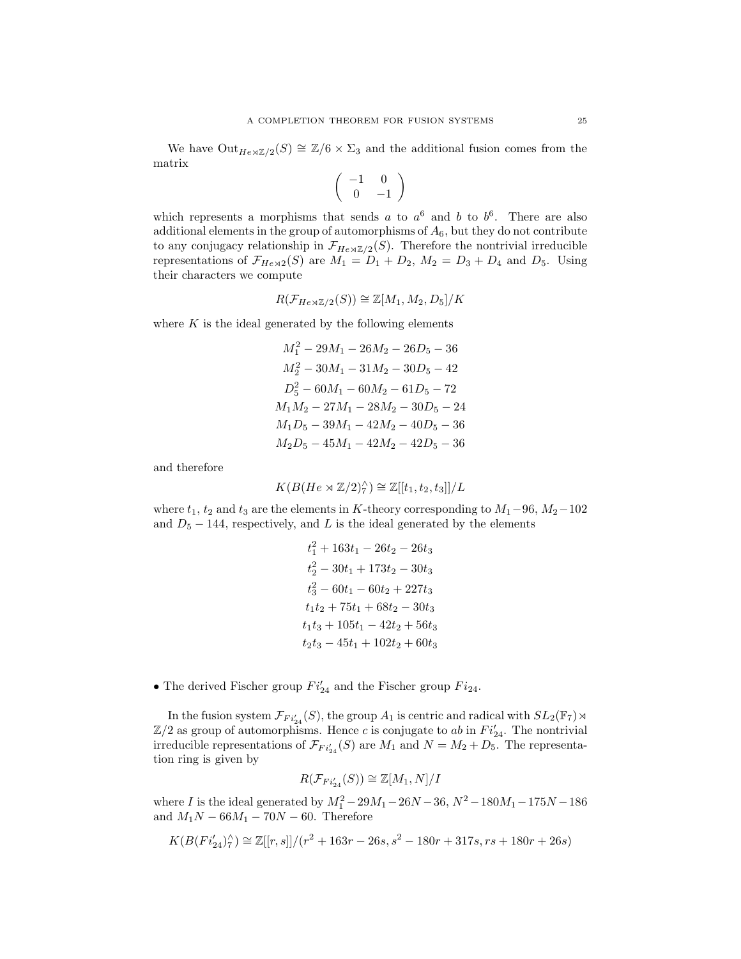We have  $\text{Out}_{He\rtimes\mathbb{Z}/2}(S) \cong \mathbb{Z}/6 \times \Sigma_3$  and the additional fusion comes from the matrix

$$
\left(\begin{array}{cc} -1 & 0 \\ 0 & -1 \end{array}\right)
$$

which represents a morphisms that sends a to  $a^6$  and b to  $b^6$ . There are also additional elements in the group of automorphisms of  $A_6$ , but they do not contribute to any conjugacy relationship in  $\mathcal{F}_{He\rtimes\mathbb{Z}/2}(S)$ . Therefore the nontrivial irreducible representations of  $\mathcal{F}_{He\rtimes2}(S)$  are  $M_1 = D_1 + D_2$ ,  $M_2 = D_3 + D_4$  and  $D_5$ . Using their characters we compute

$$
R(\mathcal{F}_{He\rtimes\mathbb{Z}/2}(S))\cong\mathbb{Z}[M_1,M_2,D_5]/K
$$

where  $K$  is the ideal generated by the following elements

$$
M_1^2 - 29M_1 - 26M_2 - 26D_5 - 36
$$
  
\n
$$
M_2^2 - 30M_1 - 31M_2 - 30D_5 - 42
$$
  
\n
$$
D_5^2 - 60M_1 - 60M_2 - 61D_5 - 72
$$
  
\n
$$
M_1M_2 - 27M_1 - 28M_2 - 30D_5 - 24
$$
  
\n
$$
M_1D_5 - 39M_1 - 42M_2 - 40D_5 - 36
$$
  
\n
$$
M_2D_5 - 45M_1 - 42M_2 - 42D_5 - 36
$$

and therefore

$$
K(B(He \rtimes \mathbb{Z}/2)_{7}^{\wedge}) \cong \mathbb{Z}[[t_1, t_2, t_3]]/L
$$

where  $t_1$ ,  $t_2$  and  $t_3$  are the elements in K-theory corresponding to  $M_1-96$ ,  $M_2-102$ and  $D_5 - 144$ , respectively, and L is the ideal generated by the elements

$$
t_1^2 + 163t_1 - 26t_2 - 26t_3
$$
  
\n
$$
t_2^2 - 30t_1 + 173t_2 - 30t_3
$$
  
\n
$$
t_3^2 - 60t_1 - 60t_2 + 227t_3
$$
  
\n
$$
t_1t_2 + 75t_1 + 68t_2 - 30t_3
$$
  
\n
$$
t_1t_3 + 105t_1 - 42t_2 + 56t_3
$$
  
\n
$$
t_2t_3 - 45t_1 + 102t_2 + 60t_3
$$

• The derived Fischer group  $Fi'_{24}$  and the Fischer group  $Fi_{24}$ .

In the fusion system  $\mathcal{F}_{Fi'_{24}}(S)$ , the group  $A_1$  is centric and radical with  $SL_2(\mathbb{F}_7) \rtimes$  $\mathbb{Z}/2$  as group of automorphisms. Hence c is conjugate to ab in  $Fi'_{24}$ . The nontrivial irreducible representations of  $\mathcal{F}_{Fi'_{24}}(S)$  are  $M_1$  and  $N = M_2 + D_5$ . The representation ring is given by

$$
R(\mathcal{F}_{Fi'_{24}}(S)) \cong \mathbb{Z}[M_1, N]/I
$$

where I is the ideal generated by  $M_1^2 - 29M_1 - 26N - 36$ ,  $N^2 - 180M_1 - 175N - 186$ and  $M_1N - 66M_1 - 70N - 60$ . Therefore

$$
K(B(Fi'_{24})^\wedge_7) \cong \mathbb{Z}[[r,s]]/(r^2+163r-26s,s^2-180r+317s, rs+180r+26s)
$$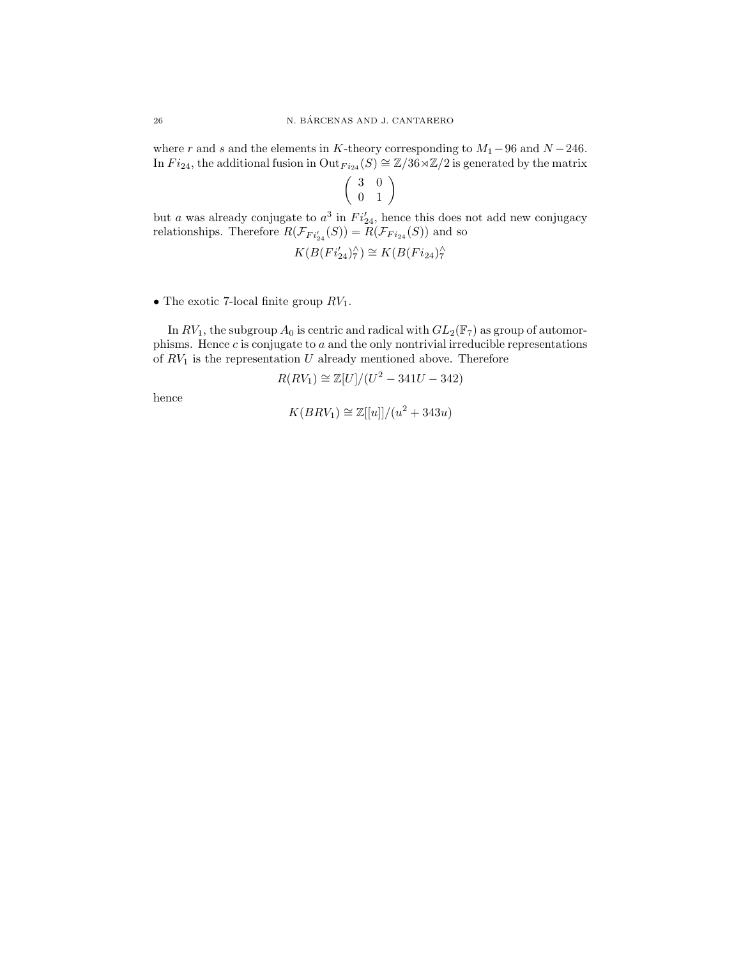where r and s and the elements in K-theory corresponding to  $M_1-96$  and  $N-246$ . In  $Fi_{24}$ , the additional fusion in  $\text{Out}_{Fi_{24}}(S) \cong \mathbb{Z}/36 \rtimes \mathbb{Z}/2$  is generated by the matrix

$$
\left(\begin{array}{cc}3 & 0 \\ 0 & 1\end{array}\right)
$$

but a was already conjugate to  $a^3$  in  $Fi'_{24}$ , hence this does not add new conjugacy relationships. Therefore  $R(\mathcal{F}_{Fi'_{24}}(S)) = R(\mathcal{F}_{Fi_{24}}(S))$  and so

$$
K(B(Fi'_{24})^\wedge_7) \cong K(B(Fi_{24})^\wedge_7)
$$

• The exotic 7-local finite group  $RV_1$ .

In  $RV_1$ , the subgroup  $A_0$  is centric and radical with  $GL_2(\mathbb{F}_7)$  as group of automorphisms. Hence  $c$  is conjugate to  $a$  and the only nontrivial irreducible representations of  $RV_1$  is the representation U already mentioned above. Therefore

$$
R(RV_1) \cong \mathbb{Z}[U]/(U^2 - 341U - 342)
$$

hence

$$
K(BRV_1) \cong \mathbb{Z}[[u]]/(u^2 + 343u)
$$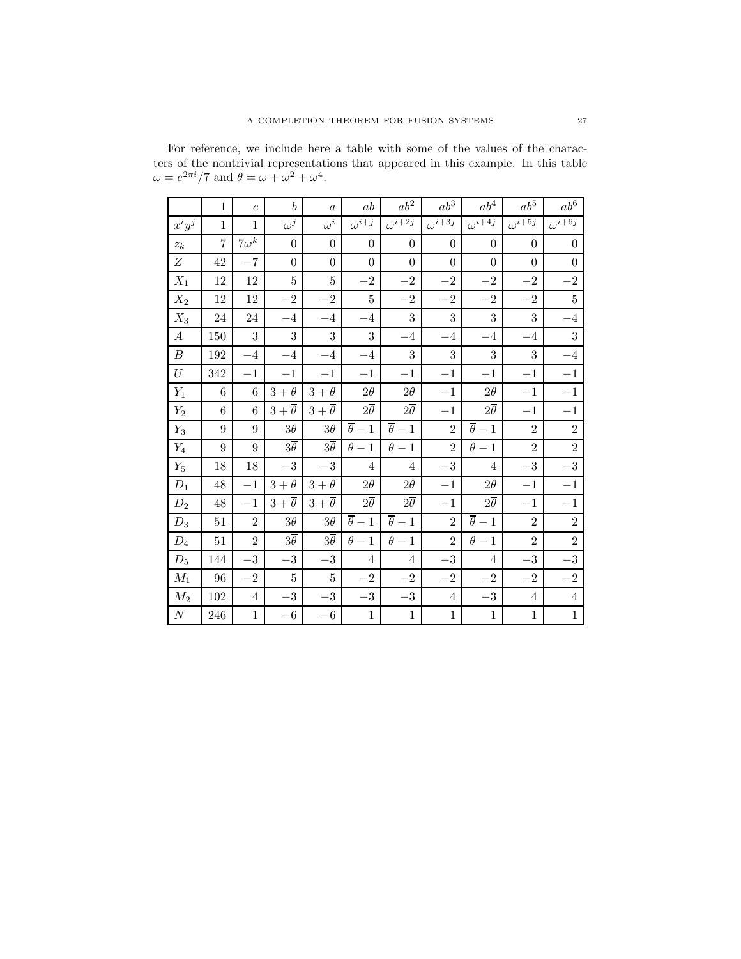For reference, we include here a table with some of the values of the characters of the nontrivial representations that appeared in this example. In this table  $\omega = e^{2\pi i}/7$  and  $\theta = \omega + \omega^2 + \omega^4$ .

|                  | $\mathbf{1}$   | $\overline{c}$ | $\boldsymbol{b}$      | $\alpha$              | ab                    | $ab^2\,$                   | $ab^3$                     | $ab^4$                | $ab^5$           | $ab^6$           |
|------------------|----------------|----------------|-----------------------|-----------------------|-----------------------|----------------------------|----------------------------|-----------------------|------------------|------------------|
| $x^i y^j$        | $\mathbf{1}$   | $\mathbf{1}$   | $\omega^j$            | $\omega^i$            | $\omega^{i+j}$        | $\overline{\omega^{i+2j}}$ | $\overline{\omega^{i+3j}}$ | $\omega^{i+4j}$       | $\omega^{i+5j}$  | $\omega^{i+6j}$  |
| $z_k$            | $\overline{7}$ | $7\omega^k$    | $\theta$              | $\theta$              | $\overline{0}$        | $\boldsymbol{0}$           | $\theta$                   | $\theta$              | $\overline{0}$   | $\boldsymbol{0}$ |
| $\boldsymbol{Z}$ | 42             | $-7$           | $\boldsymbol{0}$      | $\boldsymbol{0}$      | $\boldsymbol{0}$      | $\boldsymbol{0}$           | $\overline{0}$             | $\boldsymbol{0}$      | $\boldsymbol{0}$ | $\boldsymbol{0}$ |
| $X_1$            | 12             | 12             | $\overline{5}$        | 5                     | $-2$                  | $-2$                       | $-2$                       | $-2$                  | $-2$             | $-2$             |
| $X_2$            | 12             | 12             | $-2$                  | $-2$                  | 5                     | $-2$                       | $-2$                       | $-2$                  | $-2$             | $5\,$            |
| $X_3$            | 24             | 24             | $-4$                  | $-4$                  | $-4$                  | 3                          | 3                          | 3                     | 3                | $-4\,$           |
| $\boldsymbol{A}$ | 150            | 3              | 3                     | 3                     | 3                     | $-4$                       | $-4$                       | $-4$                  | $-4$             | 3                |
| $\boldsymbol{B}$ | 192            | $-4$           | $-4$                  | $-4$                  | $-4$                  | 3                          | 3                          | 3                     | 3                | $-4$             |
| U                | 342            | $-1$           | $-1$                  | $-1$                  | $-1$                  | $-1$                       | $-1$                       | $-1$                  | $-1$             | $-1$             |
| $Y_1$            | 6              | 6              | $3+\theta$            | $3+\theta$            | $2\theta$             | $2\theta$                  | $-1$                       | $2\theta$             | $-1$             | $-1$             |
| $Y_2$            | $\,6$          | $\,6$          | $3+\overline{\theta}$ | $3+\overline{\theta}$ | $2\overline{\theta}$  | $2\overline{\theta}$       | $-1$                       | $2\overline{\theta}$  | $-1$             | $-1$             |
| $Y_3$            | 9              | 9              | $3\theta$             | $3\theta$             | $\overline{\theta}-1$ | $\overline{\theta}-1$      | $\overline{2}$             | $\overline{\theta}-1$ | $\overline{2}$   | $\overline{2}$   |
| $\mathcal{Y}_4$  | 9              | $9\phantom{.}$ | $3\overline{\theta}$  | $3\overline{\theta}$  | $\theta-1$            | $\theta-1$                 | $\mathfrak{D}$             | $\theta-1$            | $\overline{2}$   | $\overline{2}$   |
| $Y_5$            | 18             | 18             | $-3\,$                | $-3\,$                | 4                     | $\overline{4}$             | $-3\,$                     | 4                     | $-3\,$           | $-3\,$           |
| $D_1$            | 48             | $-1$           | $3+\theta$            | $3+\theta$            | $2\theta$             | $2\theta$                  | $-1$                       | $2\theta$             | $-1$             | $-1$             |
| $D_2$            | 48             | $-1$           | $3+\overline{\theta}$ | $3+\overline{\theta}$ | $2\overline{\theta}$  | $2\overline{\theta}$       | $-1$                       | $2\overline{\theta}$  | $-1$             | $-1$             |
| $D_3$            | 51             | $\overline{2}$ | $3\theta$             | $3\theta$             | $\overline{\theta}-1$ | $\overline{\theta}-1$      | $\overline{2}$             | $\overline{\theta}-1$ | $\overline{2}$   | $\overline{2}$   |
| $\mathcal{D}_4$  | $51\,$         | $\overline{2}$ | $3\overline{\theta}$  | $3\overline{\theta}$  | $\theta-1$            | $\theta-1$                 | $\overline{2}$             | $\theta-1$            | $\overline{2}$   | $\overline{2}$   |
| $D_5$            | 144            | $-3$           | $-3$                  | $-3$                  | 4                     | $\overline{4}$             | $-3\,$                     | $\overline{4}$        | $-3$             | $-3\,$           |
| $M_1$            | 96             | $-2$           | $\bf 5$               | $\overline{5}$        | $-2$                  | $-2$                       | $-2$                       | $-2$                  | $-2$             | $-{\bf 2}$       |
| $M_2$            | $102\,$        | $\overline{4}$ | $-3\,$                | $-3\,$                | $-3$                  | $-3\,$                     | $\overline{4}$             | $-3\,$                | $\,4\,$          | $\,4\,$          |
| $\cal N$         | 246            | $\mathbf{1}$   | $-6\,$                | $-6\,$                | $\,1$                 | $\,1$                      | $\mathbf{1}$               | $\mathbf{1}$          | $\,1$            | $\mathbf{1}$     |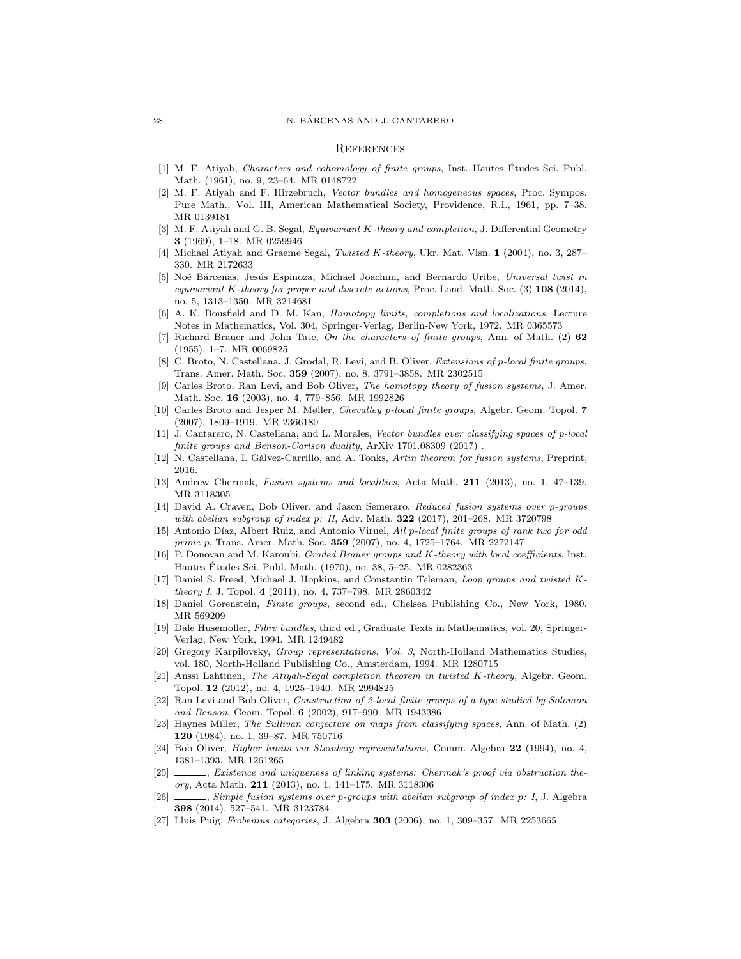### **REFERENCES**

- <span id="page-27-1"></span><span id="page-27-0"></span>[1] M. F. Atiyah, Characters and cohomology of finite groups, Inst. Hautes Etudes Sci. Publ. Math. (1961), no. 9, 23–64. MR 0148722
- [2] M. F. Atiyah and F. Hirzebruch, Vector bundles and homogeneous spaces, Proc. Sympos. Pure Math., Vol. III, American Mathematical Society, Providence, R.I., 1961, pp. 7–38. MR 0139181
- <span id="page-27-2"></span>[3] M. F. Atiyah and G. B. Segal, Equivariant K-theory and completion, J. Differential Geometry 3 (1969), 1–18. MR 0259946
- <span id="page-27-15"></span><span id="page-27-14"></span>[4] Michael Atiyah and Graeme Segal, Twisted K-theory, Ukr. Mat. Visn. 1 (2004), no. 3, 287– 330. MR 2172633
- [5] Noé Bárcenas, Jesús Espinoza, Michael Joachim, and Bernardo Uribe, Universal twist in equivariant K-theory for proper and discrete actions, Proc. Lond. Math. Soc.  $(3)$  108  $(2014)$ , no. 5, 1313–1350. MR 3214681
- <span id="page-27-17"></span>[6] A. K. Bousfield and D. M. Kan, Homotopy limits, completions and localizations, Lecture Notes in Mathematics, Vol. 304, Springer-Verlag, Berlin-New York, 1972. MR 0365573
- <span id="page-27-20"></span>[7] Richard Brauer and John Tate, On the characters of finite groups, Ann. of Math. (2) 62 (1955), 1–7. MR 0069825
- <span id="page-27-10"></span>[8] C. Broto, N. Castellana, J. Grodal, R. Levi, and B. Oliver, Extensions of p-local finite groups, Trans. Amer. Math. Soc. 359 (2007), no. 8, 3791–3858. MR 2302515
- <span id="page-27-4"></span>[9] Carles Broto, Ran Levi, and Bob Oliver, The homotopy theory of fusion systems, J. Amer. Math. Soc. 16 (2003), no. 4, 779–856. MR 1992826
- <span id="page-27-5"></span>[10] Carles Broto and Jesper M. Møller, Chevalley p-local finite groups, Algebr. Geom. Topol. 7 (2007), 1809–1919. MR 2366180
- <span id="page-27-11"></span>[11] J. Cantarero, N. Castellana, and L. Morales, Vector bundles over classifying spaces of p-local finite groups and Benson-Carlson duality, ArXiv 1701.08309 (2017).
- <span id="page-27-18"></span><span id="page-27-12"></span>[12] N. Castellana, I. Gálvez-Carrillo, and A. Tonks, Artin theorem for fusion systems, Preprint, 2016.
- <span id="page-27-6"></span>[13] Andrew Chermak, Fusion systems and localities, Acta Math. 211 (2013), no. 1, 47–139. MR 3118305
- [14] David A. Craven, Bob Oliver, and Jason Semeraro, Reduced fusion systems over p-groups with abelian subgroup of index p: II, Adv. Math. 322 (2017), 201-268. MR 3720798
- <span id="page-27-7"></span>[15] Antonio Díaz, Albert Ruiz, and Antonio Viruel, All p-local finite groups of rank two for odd prime p, Trans. Amer. Math. Soc. 359 (2007), no. 4, 1725–1764. MR 2272147
- <span id="page-27-13"></span>[16] P. Donovan and M. Karoubi, *Graded Brauer groups and K-theory with local coefficients*, Inst. Hautes Etudes Sci. Publ. Math. (1970), no. 38, 5–25. MR 0282363 ´
- <span id="page-27-25"></span>[17] Daniel S. Freed, Michael J. Hopkins, and Constantin Teleman, Loop groups and twisted Ktheory I, J. Topol. 4 (2011), no. 4, 737–798. MR 2860342
- <span id="page-27-26"></span><span id="page-27-24"></span>[18] Daniel Gorenstein, Finite groups, second ed., Chelsea Publishing Co., New York, 1980. MR 569209
- [19] Dale Husemoller, Fibre bundles, third ed., Graduate Texts in Mathematics, vol. 20, Springer-Verlag, New York, 1994. MR 1249482
- <span id="page-27-23"></span>[20] Gregory Karpilovsky, Group representations. Vol. 3, North-Holland Mathematics Studies, vol. 180, North-Holland Publishing Co., Amsterdam, 1994. MR 1280715
- <span id="page-27-3"></span>[21] Anssi Lahtinen, The Atiyah-Segal completion theorem in twisted K-theory, Algebr. Geom. Topol. 12 (2012), no. 4, 1925–1940. MR 2994825
- <span id="page-27-8"></span>[22] Ran Levi and Bob Oliver, Construction of 2-local finite groups of a type studied by Solomon and Benson, Geom. Topol. 6 (2002), 917–990. MR 1943386
- <span id="page-27-22"></span>[23] Haynes Miller, The Sullivan conjecture on maps from classifying spaces, Ann. of Math. (2) 120 (1984), no. 1, 39–87. MR 750716
- <span id="page-27-21"></span>[24] Bob Oliver, Higher limits via Steinberg representations, Comm. Algebra 22 (1994), no. 4, 1381–1393. MR 1261265
- <span id="page-27-19"></span>[25]  $\_\_\_\_\$ , Existence and uniqueness of linking systems: Chermak's proof via obstruction theory, Acta Math. 211 (2013), no. 1, 141–175. MR 3118306
- <span id="page-27-9"></span>[26] , Simple fusion systems over p-groups with abelian subgroup of index p: I, J. Algebra 398 (2014), 527–541. MR 3123784
- <span id="page-27-16"></span>[27] Lluis Puig, Frobenius categories, J. Algebra 303 (2006), no. 1, 309–357. MR 2253665